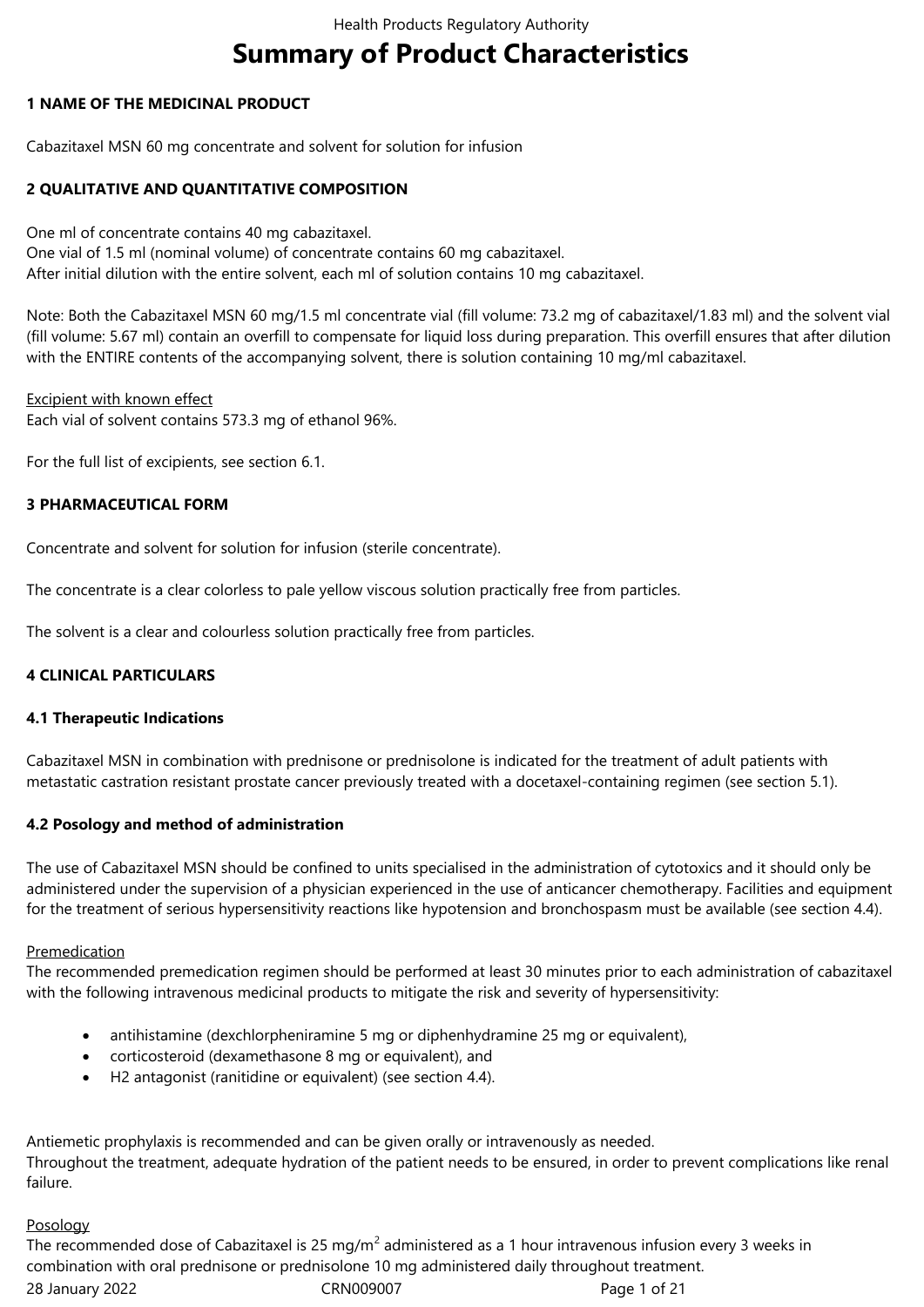# **Summary of Product Characteristics**

# **1 NAME OF THE MEDICINAL PRODUCT**

Cabazitaxel MSN 60 mg concentrate and solvent for solution for infusion

# **2 QUALITATIVE AND QUANTITATIVE COMPOSITION**

One ml of concentrate contains 40 mg cabazitaxel. One vial of 1.5 ml (nominal volume) of concentrate contains 60 mg cabazitaxel. After initial dilution with the entire solvent, each ml of solution contains 10 mg cabazitaxel.

Note: Both the Cabazitaxel MSN 60 mg/1.5 ml concentrate vial (fill volume: 73.2 mg of cabazitaxel/1.83 ml) and the solvent vial (fill volume: 5.67 ml) contain an overfill to compensate for liquid loss during preparation. This overfill ensures that after dilution with the ENTIRE contents of the accompanying solvent, there is solution containing 10 mg/ml cabazitaxel.

# Excipient with known effect

Each vial of solvent contains 573.3 mg of ethanol 96%.

For the full list of excipients, see section 6.1.

# **3 PHARMACEUTICAL FORM**

Concentrate and solvent for solution for infusion (sterile concentrate).

The concentrate is a clear colorless to pale yellow viscous solution practically free from particles.

The solvent is a clear and colourless solution practically free from particles.

# **4 CLINICAL PARTICULARS**

### **4.1 Therapeutic Indications**

Cabazitaxel MSN in combination with prednisone or prednisolone is indicated for the treatment of adult patients with metastatic castration resistant prostate cancer previously treated with a docetaxel-containing regimen (see section 5.1).

# **4.2 Posology and method of administration**

The use of Cabazitaxel MSN should be confined to units specialised in the administration of cytotoxics and it should only be administered under the supervision of a physician experienced in the use of anticancer chemotherapy. Facilities and equipment for the treatment of serious hypersensitivity reactions like hypotension and bronchospasm must be available (see section 4.4).

### Premedication

The recommended premedication regimen should be performed at least 30 minutes prior to each administration of cabazitaxel with the following intravenous medicinal products to mitigate the risk and severity of hypersensitivity:

- antihistamine (dexchlorpheniramine 5 mg or diphenhydramine 25 mg or equivalent),
- corticosteroid (dexamethasone 8 mg or equivalent), and
- H2 antagonist (ranitidine or equivalent) (see section 4.4).

Antiemetic prophylaxis is recommended and can be given orally or intravenously as needed. Throughout the treatment, adequate hydration of the patient needs to be ensured, in order to prevent complications like renal failure.

### Posology

28 January 2022 CRN009007 Page 1 of 21 The recommended dose of Cabazitaxel is 25 mg/m<sup>2</sup> administered as a 1 hour intravenous infusion every 3 weeks in combination with oral prednisone or prednisolone 10 mg administered daily throughout treatment.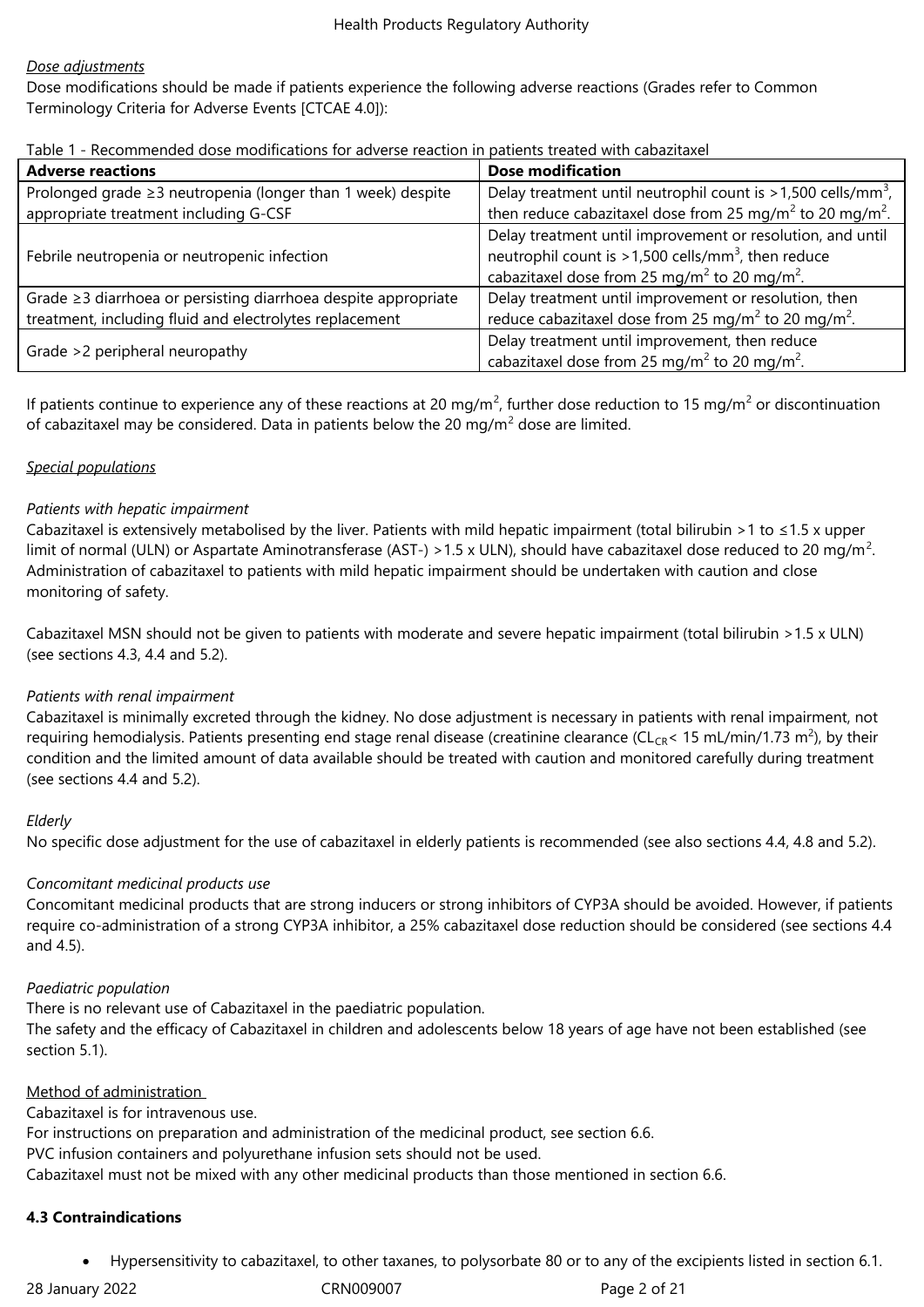### *Dose adjustments*

Dose modifications should be made if patients experience the following adverse reactions (Grades refer to Common Terminology Criteria for Adverse Events [CTCAE 4.0]):

| Table 1 - Recommended dose modifications for adverse reaction in patients treated with cabazitaxel |  |
|----------------------------------------------------------------------------------------------------|--|
|----------------------------------------------------------------------------------------------------|--|

| <b>Adverse reactions</b>                                          | <b>Dose modification</b>                                                                                                                                                                               |
|-------------------------------------------------------------------|--------------------------------------------------------------------------------------------------------------------------------------------------------------------------------------------------------|
| Prolonged grade $\geq$ 3 neutropenia (longer than 1 week) despite | Delay treatment until neutrophil count is $>1,500$ cells/mm <sup>3</sup> ,                                                                                                                             |
| appropriate treatment including G-CSF                             | then reduce cabazitaxel dose from 25 mg/m <sup>2</sup> to 20 mg/m <sup>2</sup> .                                                                                                                       |
| Febrile neutropenia or neutropenic infection                      | Delay treatment until improvement or resolution, and until<br>neutrophil count is $>1,500$ cells/mm <sup>3</sup> , then reduce<br>cabazitaxel dose from 25 mg/m <sup>2</sup> to 20 mg/m <sup>2</sup> . |
| Grade ≥3 diarrhoea or persisting diarrhoea despite appropriate    | Delay treatment until improvement or resolution, then                                                                                                                                                  |
| treatment, including fluid and electrolytes replacement           | reduce cabazitaxel dose from 25 mg/m <sup>2</sup> to 20 mg/m <sup>2</sup> .                                                                                                                            |
| Grade >2 peripheral neuropathy                                    | Delay treatment until improvement, then reduce<br>cabazitaxel dose from 25 mg/m <sup>2</sup> to 20 mg/m <sup>2</sup> .                                                                                 |

If patients continue to experience any of these reactions at 20 mg/m<sup>2</sup>, further dose reduction to 15 mg/m<sup>2</sup> or discontinuation of cabazitaxel may be considered. Data in patients below the 20 mg/m<sup>2</sup> dose are limited.

# *Special populations*

# *Patients with hepatic impairment*

Cabazitaxel is extensively metabolised by the liver. Patients with mild hepatic impairment (total bilirubin >1 to  $\leq$ 1.5 x upper limit of normal (ULN) or Aspartate Aminotransferase (AST-) > 1.5 x ULN), should have cabazitaxel dose reduced to 20 mg/m<sup>2</sup>. Administration of cabazitaxel to patients with mild hepatic impairment should be undertaken with caution and close monitoring of safety.

Cabazitaxel MSN should not be given to patients with moderate and severe hepatic impairment (total bilirubin >1.5 x ULN) (see sections 4.3, 4.4 and 5.2).

### *Patients with renal impairment*

Cabazitaxel is minimally excreted through the kidney. No dose adjustment is necessary in patients with renal impairment, not requiring hemodialysis. Patients presenting end stage renal disease (creatinine clearance (CL<sub>CR</sub>< 15 mL/min/1.73 m<sup>2</sup>), by their condition and the limited amount of data available should be treated with caution and monitored carefully during treatment (see sections 4.4 and 5.2).

### *Elderly*

No specific dose adjustment for the use of cabazitaxel in elderly patients is recommended (see also sections 4.4, 4.8 and 5.2).

# *Concomitant medicinal products use*

Concomitant medicinal products that are strong inducers or strong inhibitors of CYP3A should be avoided. However, if patients require co-administration of a strong CYP3A inhibitor, a 25% cabazitaxel dose reduction should be considered (see sections 4.4 and 4.5).

### *Paediatric population*

There is no relevant use of Cabazitaxel in the paediatric population.

The safety and the efficacy of Cabazitaxel in children and adolescents below 18 years of age have not been established (see section 5.1).

### Method of administration

Cabazitaxel is for intravenous use. For instructions on preparation and administration of the medicinal product, see section 6.6. PVC infusion containers and polyurethane infusion sets should not be used. Cabazitaxel must not be mixed with any other medicinal products than those mentioned in section 6.6.

### **4.3 Contraindications**

Hypersensitivity to cabazitaxel, to other taxanes, to polysorbate 80 or to any of the excipients listed in section 6.1.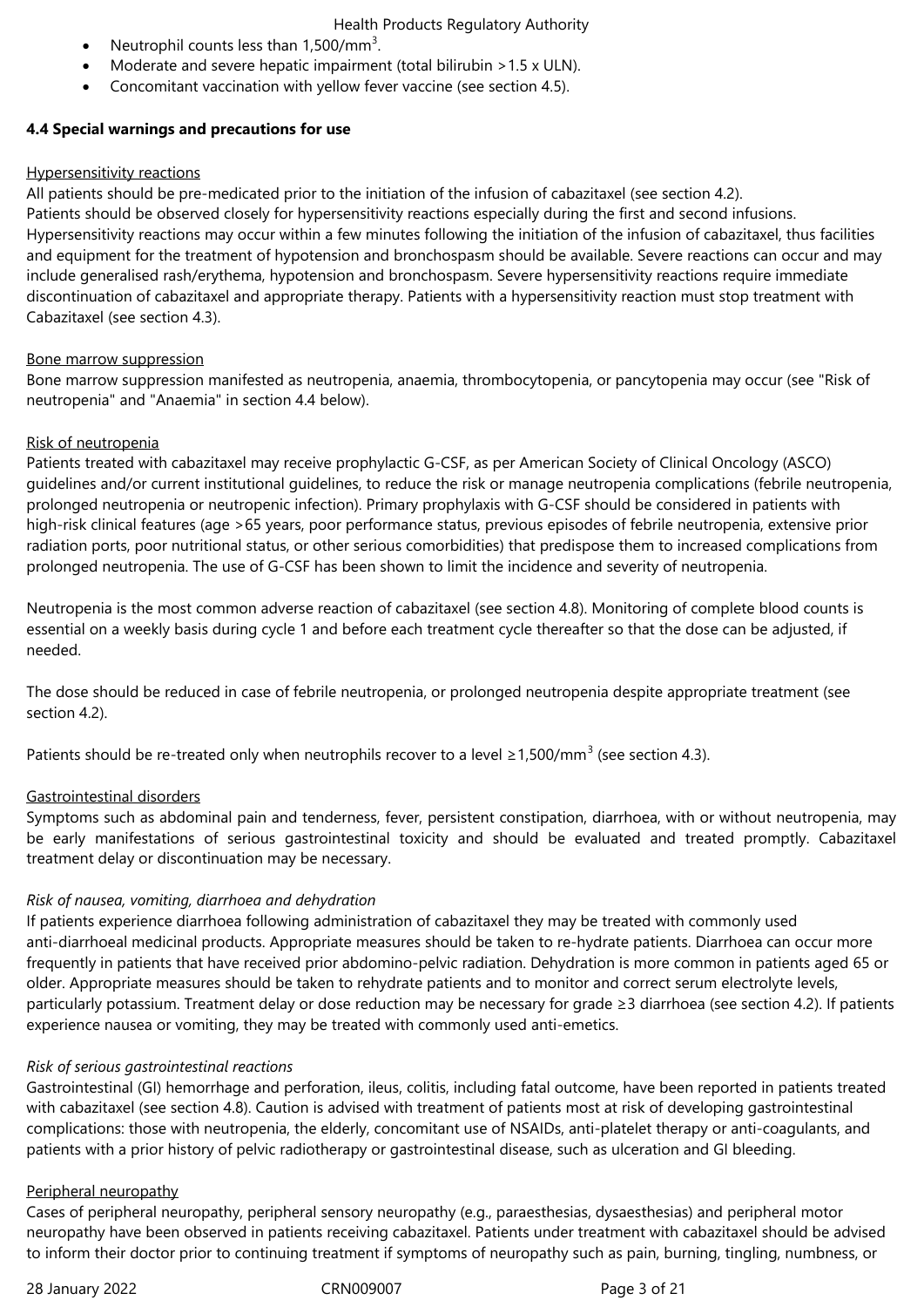- Neutrophil counts less than 1,500/mm<sup>3</sup>.
- Moderate and severe hepatic impairment (total bilirubin > 1.5 x ULN).
- Concomitant vaccination with yellow fever vaccine (see section 4.5).

# **4.4 Special warnings and precautions for use**

# Hypersensitivity reactions

All patients should be pre-medicated prior to the initiation of the infusion of cabazitaxel (see section 4.2). Patients should be observed closely for hypersensitivity reactions especially during the first and second infusions. Hypersensitivity reactions may occur within a few minutes following the initiation of the infusion of cabazitaxel, thus facilities and equipment for the treatment of hypotension and bronchospasm should be available. Severe reactions can occur and may include generalised rash/erythema, hypotension and bronchospasm. Severe hypersensitivity reactions require immediate discontinuation of cabazitaxel and appropriate therapy. Patients with a hypersensitivity reaction must stop treatment with Cabazitaxel (see section 4.3).

# Bone marrow suppression

Bone marrow suppression manifested as neutropenia, anaemia, thrombocytopenia, or pancytopenia may occur (see "Risk of neutropenia" and "Anaemia" in section 4.4 below).

# Risk of neutropenia

Patients treated with cabazitaxel may receive prophylactic G-CSF, as per American Society of Clinical Oncology (ASCO) guidelines and/or current institutional guidelines, to reduce the risk or manage neutropenia complications (febrile neutropenia, prolonged neutropenia or neutropenic infection). Primary prophylaxis with G-CSF should be considered in patients with high-risk clinical features (age >65 years, poor performance status, previous episodes of febrile neutropenia, extensive prior radiation ports, poor nutritional status, or other serious comorbidities) that predispose them to increased complications from prolonged neutropenia. The use of G-CSF has been shown to limit the incidence and severity of neutropenia.

Neutropenia is the most common adverse reaction of cabazitaxel (see section 4.8). Monitoring of complete blood counts is essential on a weekly basis during cycle 1 and before each treatment cycle thereafter so that the dose can be adjusted, if needed.

The dose should be reduced in case of febrile neutropenia, or prolonged neutropenia despite appropriate treatment (see section 4.2).

Patients should be re-treated only when neutrophils recover to a level ≥1,500/mm<sup>3</sup> (see section 4.3).

# Gastrointestinal disorders

Symptoms such as abdominal pain and tenderness, fever, persistent constipation, diarrhoea, with or without neutropenia, may be early manifestations of serious gastrointestinal toxicity and should be evaluated and treated promptly. Cabazitaxel treatment delay or discontinuation may be necessary.

# *Risk of nausea, vomiting, diarrhoea and dehydration*

If patients experience diarrhoea following administration of cabazitaxel they may be treated with commonly used anti-diarrhoeal medicinal products. Appropriate measures should be taken to re-hydrate patients. Diarrhoea can occur more frequently in patients that have received prior abdomino-pelvic radiation. Dehydration is more common in patients aged 65 or older. Appropriate measures should be taken to rehydrate patients and to monitor and correct serum electrolyte levels, particularly potassium. Treatment delay or dose reduction may be necessary for grade ≥3 diarrhoea (see section 4.2). If patients experience nausea or vomiting, they may be treated with commonly used anti-emetics.

# *Risk of serious gastrointestinal reactions*

Gastrointestinal (GI) hemorrhage and perforation, ileus, colitis, including fatal outcome, have been reported in patients treated with cabazitaxel (see section 4.8). Caution is advised with treatment of patients most at risk of developing gastrointestinal complications: those with neutropenia, the elderly, concomitant use of NSAIDs, anti-platelet therapy or anti-coagulants, and patients with a prior history of pelvic radiotherapy or gastrointestinal disease, such as ulceration and GI bleeding.

# Peripheral neuropathy

Cases of peripheral neuropathy, peripheral sensory neuropathy (e.g., paraesthesias, dysaesthesias) and peripheral motor neuropathy have been observed in patients receiving cabazitaxel. Patients under treatment with cabazitaxel should be advised to inform their doctor prior to continuing treatment if symptoms of neuropathy such as pain, burning, tingling, numbness, or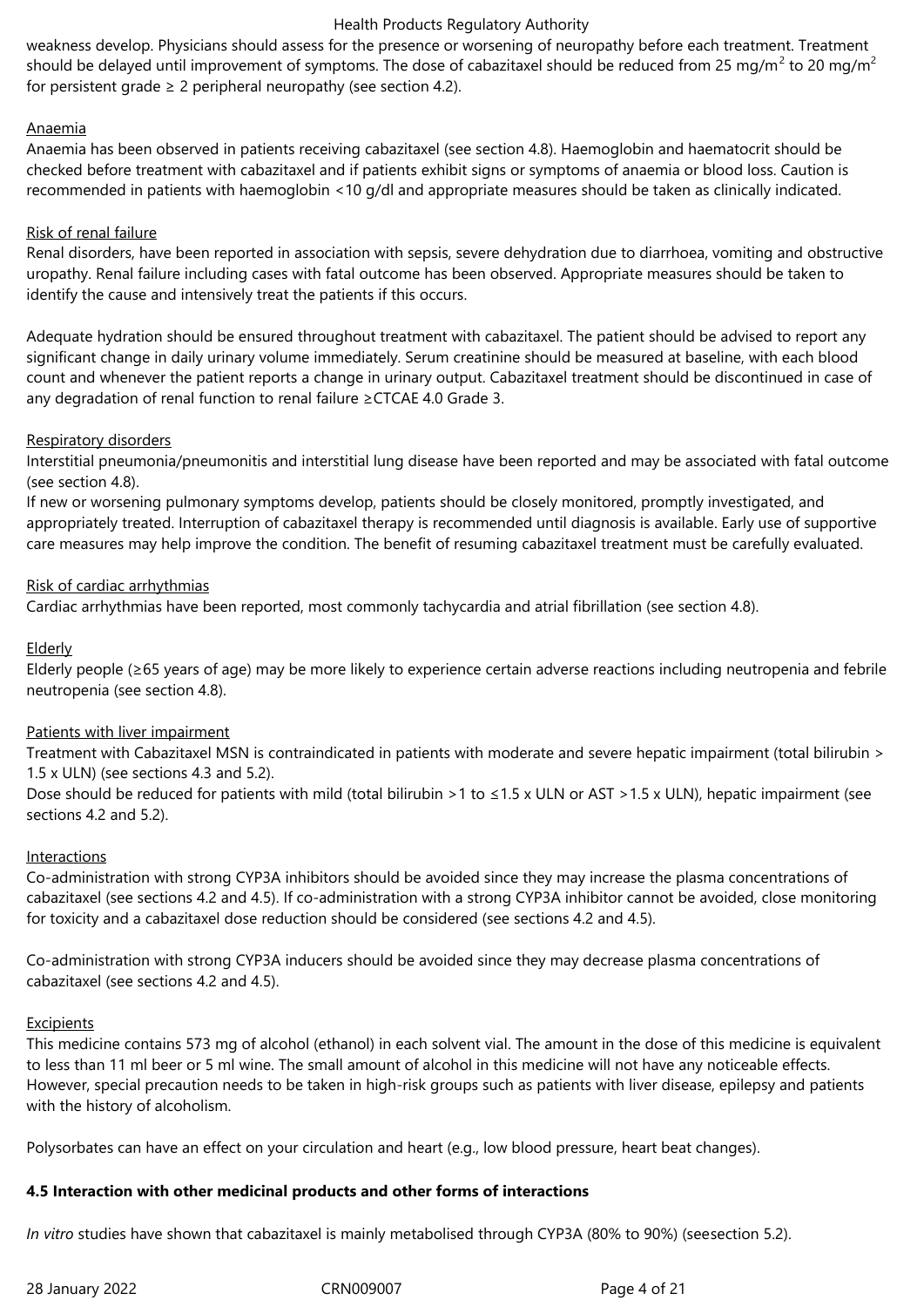weakness develop. Physicians should assess for the presence or worsening of neuropathy before each treatment. Treatment should be delayed until improvement of symptoms. The dose of cabazitaxel should be reduced from 25 mg/m<sup>2</sup> to 20 mg/m<sup>2</sup> for persistent grade  $\geq 2$  peripheral neuropathy (see section 4.2).

# Anaemia

Anaemia has been observed in patients receiving cabazitaxel (see section 4.8). Haemoglobin and haematocrit should be checked before treatment with cabazitaxel and if patients exhibit signs or symptoms of anaemia or blood loss. Caution is recommended in patients with haemoglobin <10 g/dl and appropriate measures should be taken as clinically indicated.

# Risk of renal failure

Renal disorders, have been reported in association with sepsis, severe dehydration due to diarrhoea, vomiting and obstructive uropathy. Renal failure including cases with fatal outcome has been observed. Appropriate measures should be taken to identify the cause and intensively treat the patients if this occurs.

Adequate hydration should be ensured throughout treatment with cabazitaxel. The patient should be advised to report any significant change in daily urinary volume immediately. Serum creatinine should be measured at baseline, with each blood count and whenever the patient reports a change in urinary output. Cabazitaxel treatment should be discontinued in case of any degradation of renal function to renal failure ≥CTCAE 4.0 Grade 3.

# Respiratory disorders

Interstitial pneumonia/pneumonitis and interstitial lung disease have been reported and may be associated with fatal outcome (see section 4.8).

If new or worsening pulmonary symptoms develop, patients should be closely monitored, promptly investigated, and appropriately treated. Interruption of cabazitaxel therapy is recommended until diagnosis is available. Early use of supportive care measures may help improve the condition. The benefit of resuming cabazitaxel treatment must be carefully evaluated.

# Risk of cardiac arrhythmias

Cardiac arrhythmias have been reported, most commonly tachycardia and atrial fibrillation (see section 4.8).

# Elderly

Elderly people (≥65 years of age) may be more likely to experience certain adverse reactions including neutropenia and febrile neutropenia (see section 4.8).

# Patients with liver impairment

Treatment with Cabazitaxel MSN is contraindicated in patients with moderate and severe hepatic impairment (total bilirubin > 1.5 x ULN) (see sections 4.3 and 5.2).

Dose should be reduced for patients with mild (total bilirubin >1 to  $\leq$ 1.5 x ULN or AST >1.5 x ULN), hepatic impairment (see sections 4.2 and 5.2).

### **Interactions**

Co-administration with strong CYP3A inhibitors should be avoided since they may increase the plasma concentrations of cabazitaxel (see sections 4.2 and 4.5). If co-administration with a strong CYP3A inhibitor cannot be avoided, close monitoring for toxicity and a cabazitaxel dose reduction should be considered (see sections 4.2 and 4.5).

Co-administration with strong CYP3A inducers should be avoided since they may decrease plasma concentrations of cabazitaxel (see sections 4.2 and 4.5).

### **Excipients**

This medicine contains 573 mg of alcohol (ethanol) in each solvent vial. The amount in the dose of this medicine is equivalent to less than 11 ml beer or 5 ml wine. The small amount of alcohol in this medicine will not have any noticeable effects. However, special precaution needs to be taken in high-risk groups such as patients with liver disease, epilepsy and patients with the history of alcoholism.

Polysorbates can have an effect on your circulation and heart (e.g., low blood pressure, heart beat changes).

# **4.5 Interaction with other medicinal products and other forms of interactions**

*In vitro* studies have shown that cabazitaxel is mainly metabolised through CYP3A (80% to 90%) (seesection 5.2).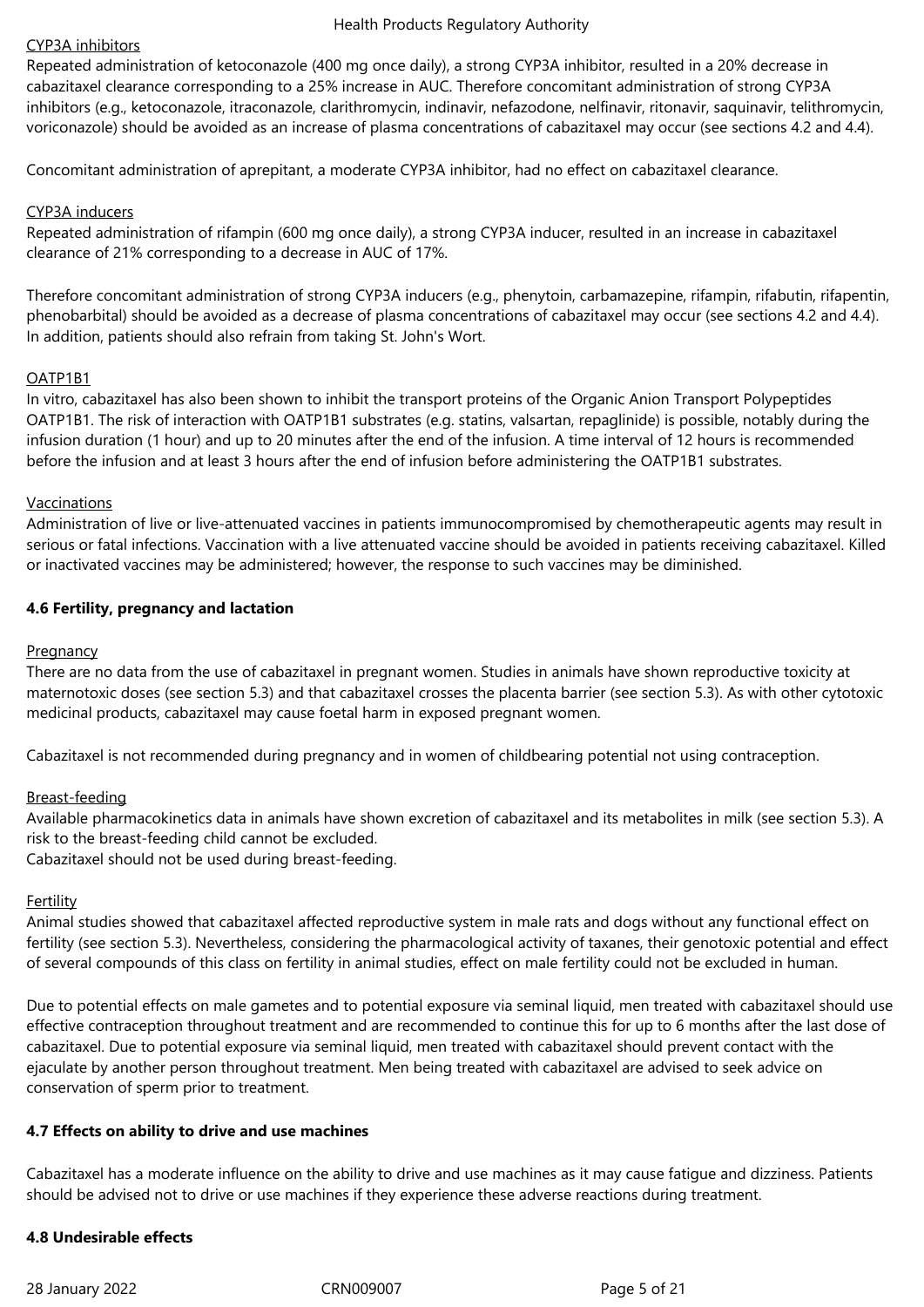# CYP3A inhibitors

Repeated administration of ketoconazole (400 mg once daily), a strong CYP3A inhibitor, resulted in a 20% decrease in cabazitaxel clearance corresponding to a 25% increase in AUC. Therefore concomitant administration of strong CYP3A inhibitors (e.g., ketoconazole, itraconazole, clarithromycin, indinavir, nefazodone, nelfinavir, ritonavir, saquinavir, telithromycin, voriconazole) should be avoided as an increase of plasma concentrations of cabazitaxel may occur (see sections 4.2 and 4.4).

Concomitant administration of aprepitant, a moderate CYP3A inhibitor, had no effect on cabazitaxel clearance.

### CYP3A inducers

Repeated administration of rifampin (600 mg once daily), a strong CYP3A inducer, resulted in an increase in cabazitaxel clearance of 21% corresponding to a decrease in AUC of 17%.

Therefore concomitant administration of strong CYP3A inducers (e.g., phenytoin, carbamazepine, rifampin, rifabutin, rifapentin, phenobarbital) should be avoided as a decrease of plasma concentrations of cabazitaxel may occur (see sections 4.2 and 4.4). In addition, patients should also refrain from taking St. John's Wort.

# OATP1B1

In vitro, cabazitaxel has also been shown to inhibit the transport proteins of the Organic Anion Transport Polypeptides OATP1B1. The risk of interaction with OATP1B1 substrates (e.g. statins, valsartan, repaglinide) is possible, notably during the infusion duration (1 hour) and up to 20 minutes after the end of the infusion. A time interval of 12 hours is recommended before the infusion and at least 3 hours after the end of infusion before administering the OATP1B1 substrates.

# Vaccinations

Administration of live or live-attenuated vaccines in patients immunocompromised by chemotherapeutic agents may result in serious or fatal infections. Vaccination with a live attenuated vaccine should be avoided in patients receiving cabazitaxel. Killed or inactivated vaccines may be administered; however, the response to such vaccines may be diminished.

# **4.6 Fertility, pregnancy and lactation**

### **Pregnancy**

There are no data from the use of cabazitaxel in pregnant women. Studies in animals have shown reproductive toxicity at maternotoxic doses (see section 5.3) and that cabazitaxel crosses the placenta barrier (see section 5.3). As with other cytotoxic medicinal products, cabazitaxel may cause foetal harm in exposed pregnant women.

Cabazitaxel is not recommended during pregnancy and in women of childbearing potential not using contraception.

### Breast-feeding

Available pharmacokinetics data in animals have shown excretion of cabazitaxel and its metabolites in milk (see section 5.3). A risk to the breast-feeding child cannot be excluded.

Cabazitaxel should not be used during breast-feeding.

### Fertility

Animal studies showed that cabazitaxel affected reproductive system in male rats and dogs without any functional effect on fertility (see section 5.3). Nevertheless, considering the pharmacological activity of taxanes, their genotoxic potential and effect of several compounds of this class on fertility in animal studies, effect on male fertility could not be excluded in human.

Due to potential effects on male gametes and to potential exposure via seminal liquid, men treated with cabazitaxel should use effective contraception throughout treatment and are recommended to continue this for up to 6 months after the last dose of cabazitaxel. Due to potential exposure via seminal liquid, men treated with cabazitaxel should prevent contact with the ejaculate by another person throughout treatment. Men being treated with cabazitaxel are advised to seek advice on conservation of sperm prior to treatment.

### **4.7 Effects on ability to drive and use machines**

Cabazitaxel has a moderate influence on the ability to drive and use machines as it may cause fatigue and dizziness. Patients should be advised not to drive or use machines if they experience these adverse reactions during treatment.

# **4.8 Undesirable effects**

28 January 2022 CRN009007 Page 5 of 21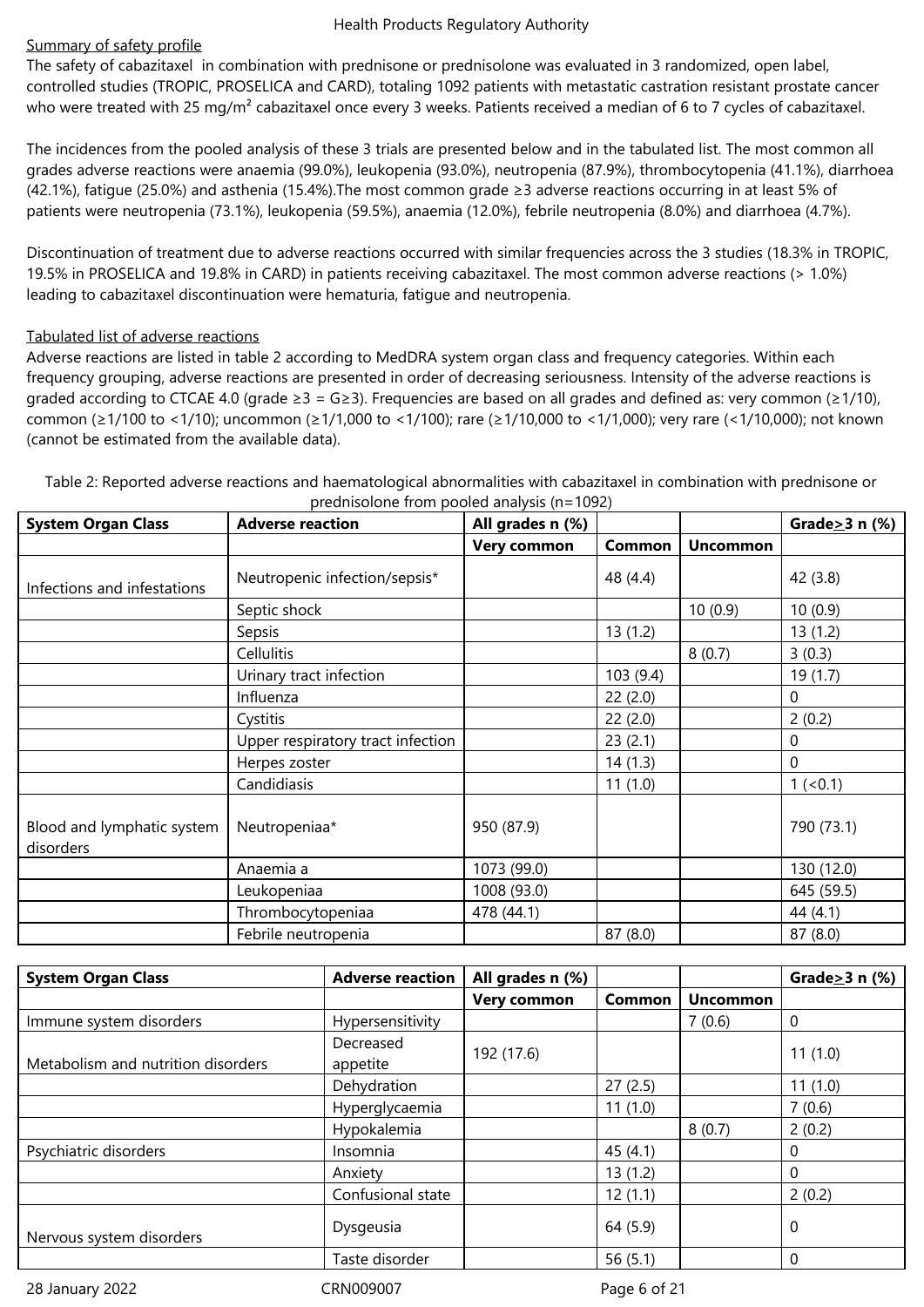# Summary of safety profile

The safety of cabazitaxel in combination with prednisone or prednisolone was evaluated in 3 randomized, open label, controlled studies (TROPIC, PROSELICA and CARD), totaling 1092 patients with metastatic castration resistant prostate cancer who were treated with 25 mg/m<sup>2</sup> cabazitaxel once every 3 weeks. Patients received a median of 6 to 7 cycles of cabazitaxel.

The incidences from the pooled analysis of these 3 trials are presented below and in the tabulated list. The most common all grades adverse reactions were anaemia (99.0%), leukopenia (93.0%), neutropenia (87.9%), thrombocytopenia (41.1%), diarrhoea (42.1%), fatigue (25.0%) and asthenia (15.4%).The most common grade ≥3 adverse reactions occurring in at least 5% of patients were neutropenia (73.1%), leukopenia (59.5%), anaemia (12.0%), febrile neutropenia (8.0%) and diarrhoea (4.7%).

Discontinuation of treatment due to adverse reactions occurred with similar frequencies across the 3 studies (18.3% in TROPIC, 19.5% in PROSELICA and 19.8% in CARD) in patients receiving cabazitaxel. The most common adverse reactions (> 1.0%) leading to cabazitaxel discontinuation were hematuria, fatigue and neutropenia.

# Tabulated list of adverse reactions

Adverse reactions are listed in table 2 according to MedDRA system organ class and frequency categories. Within each frequency grouping, adverse reactions are presented in order of decreasing seriousness. Intensity of the adverse reactions is graded according to CTCAE 4.0 (grade  $\geq 3 = G \geq 3$ ). Frequencies are based on all grades and defined as: very common ( $\geq 1/10$ ), common (≥1/100 to <1/10); uncommon (≥1/1,000 to <1/100); rare (≥1/10,000 to <1/1,000); very rare (<1/10,000); not known (cannot be estimated from the available data).

| <b>System Organ Class</b>               | All grades n (%)<br><b>Adverse reaction</b> |                    |          | Grade $\geq$ 3 n (%) |            |
|-----------------------------------------|---------------------------------------------|--------------------|----------|----------------------|------------|
|                                         |                                             | <b>Very common</b> | Common   | <b>Uncommon</b>      |            |
| Infections and infestations             | Neutropenic infection/sepsis*               |                    | 48 (4.4) |                      | 42 (3.8)   |
|                                         | Septic shock                                |                    |          | 10(0.9)              | 10(0.9)    |
|                                         | Sepsis                                      |                    | 13(1.2)  |                      | 13(1.2)    |
|                                         | Cellulitis                                  |                    |          | 8(0.7)               | 3(0.3)     |
|                                         | Urinary tract infection                     |                    | 103(9.4) |                      | 19(1.7)    |
|                                         | Influenza                                   |                    | 22(2.0)  |                      | 0          |
|                                         | Cystitis                                    |                    | 22(2.0)  |                      | 2(0.2)     |
|                                         | Upper respiratory tract infection           |                    | 23(2.1)  |                      | 0          |
|                                         | Herpes zoster                               |                    | 14(1.3)  |                      | 0          |
|                                         | Candidiasis                                 |                    | 11(1.0)  |                      | $1(0.1)$   |
| Blood and lymphatic system<br>disorders | Neutropeniaa*                               | 950 (87.9)         |          |                      | 790 (73.1) |
|                                         | Anaemia a                                   | 1073 (99.0)        |          |                      | 130 (12.0) |
|                                         | Leukopeniaa                                 | 1008 (93.0)        |          |                      | 645 (59.5) |
|                                         | Thrombocytopeniaa                           | 478 (44.1)         |          |                      | 44 (4.1)   |
|                                         | Febrile neutropenia                         |                    | 87(8.0)  |                      | 87(8.0)    |

Table 2: Reported adverse reactions and haematological abnormalities with cabazitaxel in combination with prednisone or prednisolone from pooled analysis (n=1092)

| <b>System Organ Class</b>          | <b>Adverse reaction</b> | All grades n (%)   |            |                 | Grade $\geq$ 3 n (%) |
|------------------------------------|-------------------------|--------------------|------------|-----------------|----------------------|
|                                    |                         | <b>Very common</b> | Common     | <b>Uncommon</b> |                      |
| Immune system disorders            | Hypersensitivity        |                    |            | 7(0.6)          | 0                    |
| Metabolism and nutrition disorders | Decreased<br>appetite   | 192 (17.6)         |            |                 | 11(1.0)              |
|                                    | Dehydration             |                    | 27(2.5)    |                 | 11(1.0)              |
|                                    | Hyperglycaemia          |                    | 11(1.0)    |                 | 7(0.6)               |
|                                    | Hypokalemia             |                    |            | 8(0.7)          | 2(0.2)               |
| Psychiatric disorders              | Insomnia                |                    | 45(4.1)    |                 | 0                    |
|                                    | Anxiety                 |                    | 13(1.2)    |                 | 0                    |
|                                    | Confusional state       |                    | 12(1.1)    |                 | 2(0.2)               |
| Nervous system disorders           | Dysgeusia               |                    | 64 (5.9)   |                 | 0                    |
|                                    | Taste disorder          |                    | 56 $(5.1)$ |                 | $\Omega$             |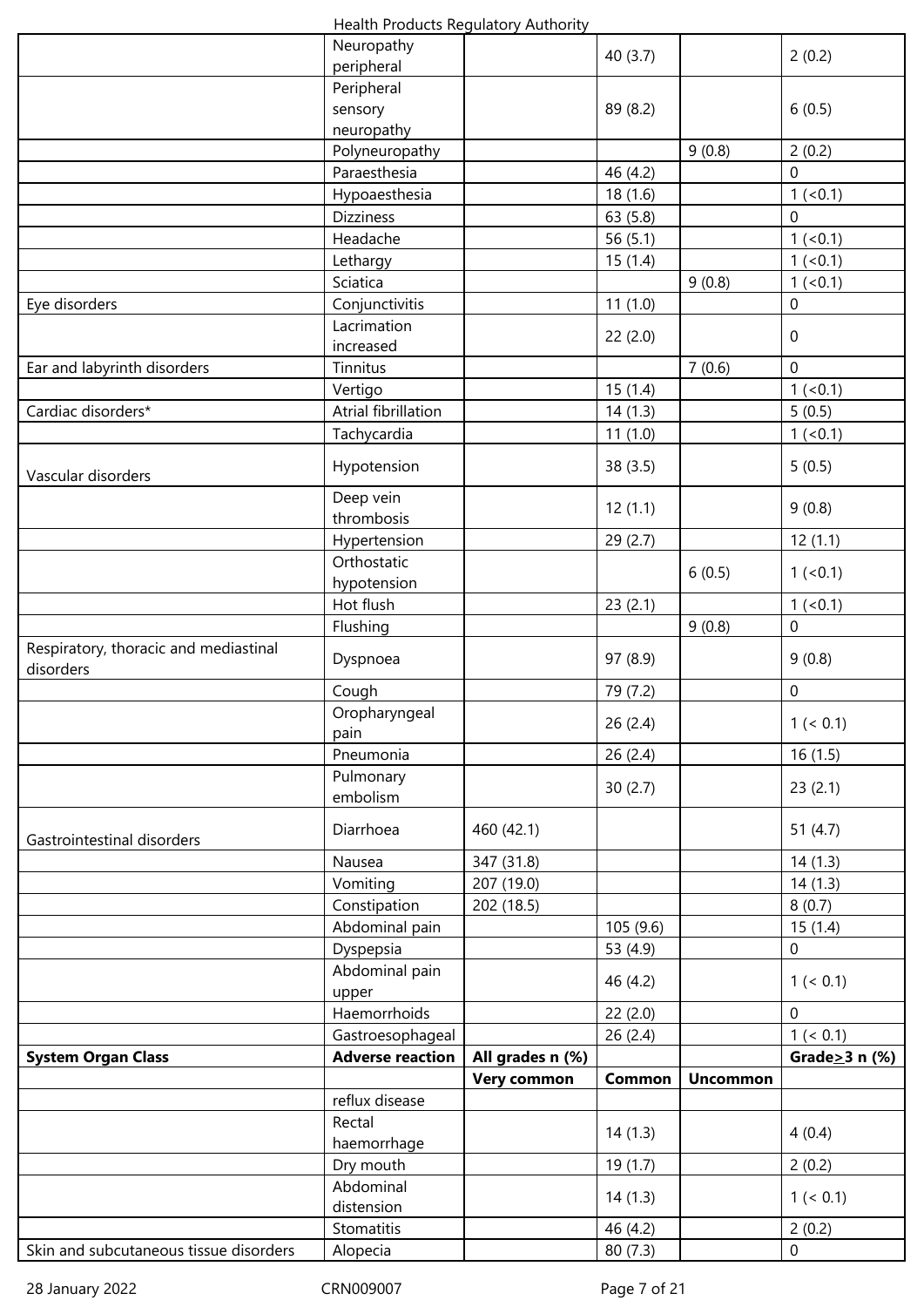|  | Health Products Regulatory Authority |
|--|--------------------------------------|
|--|--------------------------------------|

|                                        | Health Frouncis Regulatory Authority |                    |          |                 |                      |
|----------------------------------------|--------------------------------------|--------------------|----------|-----------------|----------------------|
|                                        | Neuropathy                           |                    | 40(3.7)  |                 | 2(0.2)               |
|                                        | peripheral<br>Peripheral             |                    |          |                 |                      |
|                                        | sensory                              |                    | 89 (8.2) |                 | 6(0.5)               |
|                                        | neuropathy                           |                    |          |                 |                      |
|                                        | Polyneuropathy                       |                    |          | 9(0.8)          | 2(0.2)               |
|                                        | Paraesthesia                         |                    | 46 (4.2) |                 | $\overline{0}$       |
|                                        | Hypoaesthesia                        |                    | 18(1.6)  |                 | $1 (-0.1)$           |
|                                        | <b>Dizziness</b>                     |                    | 63(5.8)  |                 | 0                    |
|                                        | Headache                             |                    | 56(5.1)  |                 | 1 (< 0.1)            |
|                                        | Lethargy                             |                    | 15(1.4)  |                 | 1 (< 0.1)            |
|                                        | Sciatica                             |                    |          | 9(0.8)          | 1 (< 0.1)            |
| Eye disorders                          | Conjunctivitis                       |                    | 11(1.0)  |                 | 0                    |
|                                        | Lacrimation                          |                    | 22(2.0)  |                 | 0                    |
|                                        | increased                            |                    |          |                 |                      |
| Ear and labyrinth disorders            | Tinnitus                             |                    |          | 7(0.6)          | $\overline{0}$       |
| Cardiac disorders*                     | Vertigo<br>Atrial fibrillation       |                    | 15(1.4)  |                 | 1 (< 0.1)            |
|                                        | Tachycardia                          |                    | 14(1.3)  |                 | 5(0.5)<br>1 (< 0.1)  |
|                                        |                                      |                    | 11(1.0)  |                 |                      |
| Vascular disorders                     | Hypotension                          |                    | 38(3.5)  |                 | 5(0.5)               |
|                                        | Deep vein                            |                    | 12(1.1)  |                 | 9(0.8)               |
|                                        | thrombosis                           |                    |          |                 |                      |
|                                        | Hypertension                         |                    | 29(2.7)  |                 | 12(1.1)              |
|                                        | Orthostatic<br>hypotension           |                    |          | 6(0.5)          | 1 (< 0.1)            |
|                                        | Hot flush                            |                    | 23(2.1)  |                 | $1 (-0.1)$           |
|                                        | Flushing                             |                    |          | 9(0.8)          | 0                    |
| Respiratory, thoracic and mediastinal  | Dyspnoea                             |                    | 97 (8.9) |                 | 9(0.8)               |
| disorders                              | Cough                                |                    | 79 (7.2) |                 | 0                    |
|                                        | Oropharyngeal                        |                    |          |                 |                      |
|                                        | pain                                 |                    | 26(2.4)  |                 | 1 (< 0.1)            |
|                                        | Pneumonia                            |                    | 26(2.4)  |                 | 16(1.5)              |
|                                        | Pulmonary                            |                    | 30(2.7)  |                 | 23(2.1)              |
|                                        | embolism                             |                    |          |                 |                      |
| Gastrointestinal disorders             | Diarrhoea                            | 460 (42.1)         |          |                 | 51 $(4.7)$           |
|                                        | Nausea                               | 347 (31.8)         |          |                 | 14(1.3)              |
|                                        | Vomiting                             | 207 (19.0)         |          |                 | 14(1.3)              |
|                                        | Constipation                         | 202 (18.5)         |          |                 | 8(0.7)               |
|                                        | Abdominal pain                       |                    | 105(9.6) |                 | 15(1.4)              |
|                                        | Dyspepsia                            |                    | 53 (4.9) |                 | $\boldsymbol{0}$     |
|                                        | Abdominal pain<br>upper              |                    | 46 (4.2) |                 | 1 (< 0.1)            |
|                                        | Haemorrhoids                         |                    | 22(2.0)  |                 | $\mathbf 0$          |
|                                        | Gastroesophageal                     |                    | 26(2.4)  |                 | 1 (< 0.1)            |
| <b>System Organ Class</b>              | <b>Adverse reaction</b>              | All grades n (%)   |          |                 | Grade $\geq$ 3 n (%) |
|                                        |                                      | <b>Very common</b> | Common   | <b>Uncommon</b> |                      |
|                                        | reflux disease                       |                    |          |                 |                      |
|                                        | Rectal                               |                    | 14(1.3)  |                 | 4(0.4)               |
|                                        | haemorrhage                          |                    |          |                 |                      |
|                                        | Dry mouth                            |                    | 19(1.7)  |                 | 2(0.2)               |
|                                        | Abdominal<br>distension              |                    | 14(1.3)  |                 | 1 (< 0.1)            |
|                                        | Stomatitis                           |                    | 46 (4.2) |                 | 2(0.2)               |
| Skin and subcutaneous tissue disorders | Alopecia                             |                    | 80(7.3)  |                 | $\boldsymbol{0}$     |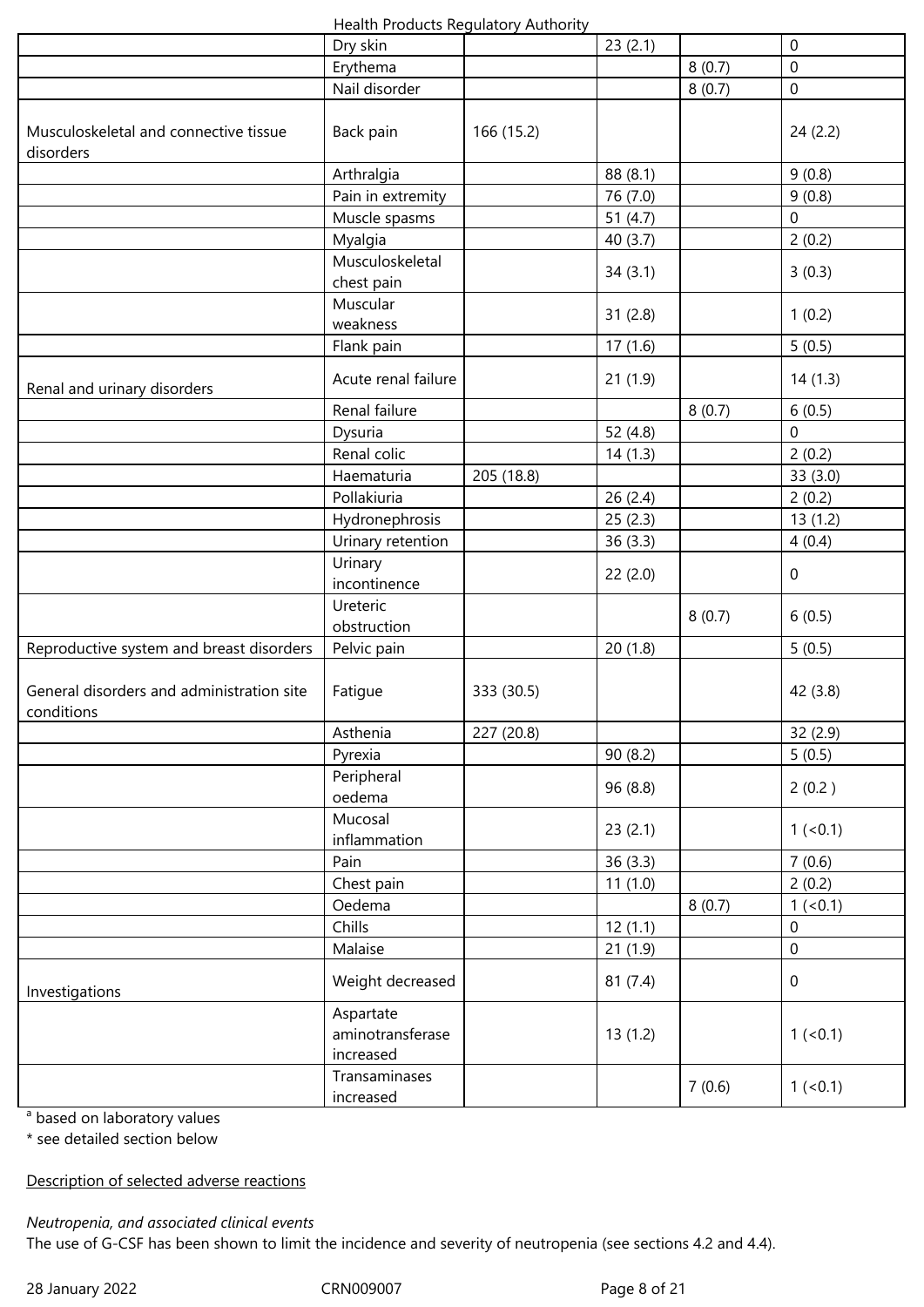| Health Products Regulatory Authority |  |
|--------------------------------------|--|
|--------------------------------------|--|

|                                                         | ricaidi i rodacis negalatory riadilority   |            |            |        |                  |
|---------------------------------------------------------|--------------------------------------------|------------|------------|--------|------------------|
|                                                         | Dry skin                                   |            | 23(2.1)    |        | $\mathbf 0$      |
|                                                         | Erythema                                   |            |            | 8(0.7) | $\mathbf 0$      |
|                                                         | Nail disorder                              |            |            | 8(0.7) | 0                |
| Musculoskeletal and connective tissue<br>disorders      | Back pain                                  | 166 (15.2) |            |        | 24(2.2)          |
|                                                         | Arthralgia                                 |            | 88 (8.1)   |        | 9(0.8)           |
|                                                         | Pain in extremity                          |            | 76 (7.0)   |        | 9(0.8)           |
|                                                         | Muscle spasms                              |            | 51 $(4.7)$ |        | 0                |
|                                                         | Myalgia                                    |            | 40(3.7)    |        | 2(0.2)           |
|                                                         | Musculoskeletal<br>chest pain              |            | 34(3.1)    |        | 3(0.3)           |
|                                                         | Muscular<br>weakness                       |            | 31(2.8)    |        | 1(0.2)           |
|                                                         | Flank pain                                 |            | 17(1.6)    |        | 5(0.5)           |
| Renal and urinary disorders                             | Acute renal failure                        |            | 21(1.9)    |        | 14(1.3)          |
|                                                         | Renal failure                              |            |            | 8(0.7) | 6(0.5)           |
|                                                         | Dysuria                                    |            | 52 (4.8)   |        | 0                |
|                                                         | Renal colic                                |            | 14(1.3)    |        | 2(0.2)           |
|                                                         | Haematuria                                 | 205 (18.8) |            |        | 33 (3.0)         |
|                                                         | Pollakiuria                                |            | 26(2.4)    |        | 2(0.2)           |
|                                                         | Hydronephrosis                             |            | 25(2.3)    |        | 13(1.2)          |
|                                                         | Urinary retention                          |            | 36(3.3)    |        | 4(0.4)           |
|                                                         | Urinary<br>incontinence                    |            | 22(2.0)    |        | $\mathbf 0$      |
|                                                         | Ureteric<br>obstruction                    |            |            | 8(0.7) | 6(0.5)           |
| Reproductive system and breast disorders                | Pelvic pain                                |            | 20(1.8)    |        | 5(0.5)           |
| General disorders and administration site<br>conditions | Fatigue                                    | 333 (30.5) |            |        | 42 (3.8)         |
|                                                         | Asthenia                                   | 227 (20.8) |            |        | 32 (2.9)         |
|                                                         | Pyrexia                                    |            | 90 (8.2)   |        | 5(0.5)           |
|                                                         | Peripheral<br>oedema                       |            | 96 (8.8)   |        | 2(0.2)           |
|                                                         | Mucosal<br>inflammation                    |            | 23(2.1)    |        | $1 (-0.1)$       |
|                                                         | Pain                                       |            | 36(3.3)    |        | 7(0.6)           |
|                                                         | Chest pain                                 |            | 11(1.0)    |        | 2(0.2)           |
|                                                         | Oedema                                     |            |            | 8(0.7) | $1 (-0.1)$       |
|                                                         | Chills                                     |            | 12(1.1)    |        | 0                |
|                                                         | Malaise                                    |            | 21(1.9)    |        | $\boldsymbol{0}$ |
| Investigations                                          | Weight decreased                           |            | 81(7.4)    |        | $\mathbf 0$      |
|                                                         | Aspartate<br>aminotransferase<br>increased |            | 13(1.2)    |        | 1 (< 0.1)        |
|                                                         | Transaminases<br>increased                 |            |            | 7(0.6) | $1 (-0.1)$       |

<sup>a</sup> based on laboratory values

\* see detailed section below

Description of selected adverse reactions

*Neutropenia, and associated clinical events*

The use of G-CSF has been shown to limit the incidence and severity of neutropenia (see sections 4.2 and 4.4).

28 January 2022 CRN009007 Page 8 of 21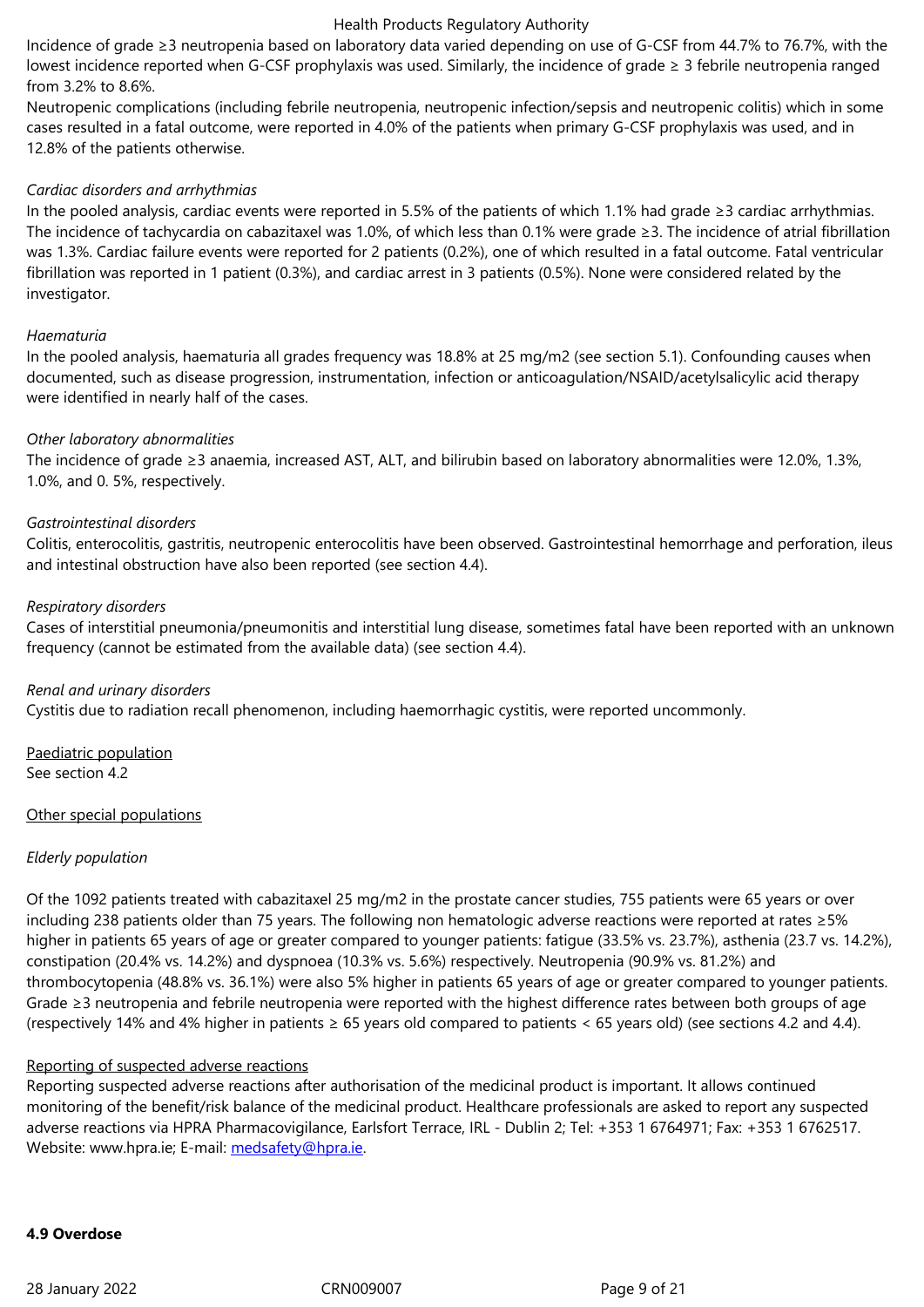#### from 3.2% to 8.6%.

Neutropenic complications (including febrile neutropenia, neutropenic infection/sepsis and neutropenic colitis) which in some cases resulted in a fatal outcome, were reported in 4.0% of the patients when primary G-CSF prophylaxis was used, and in 12.8% of the patients otherwise.

# *Cardiac disorders and arrhythmias*

In the pooled analysis, cardiac events were reported in 5.5% of the patients of which 1.1% had grade ≥3 cardiac arrhythmias. The incidence of tachycardia on cabazitaxel was 1.0%, of which less than 0.1% were grade ≥3. The incidence of atrial fibrillation was 1.3%. Cardiac failure events were reported for 2 patients (0.2%), one of which resulted in a fatal outcome. Fatal ventricular fibrillation was reported in 1 patient (0.3%), and cardiac arrest in 3 patients (0.5%). None were considered related by the investigator.

# *Haematuria*

In the pooled analysis, haematuria all grades frequency was 18.8% at 25 mg/m2 (see section 5.1). Confounding causes when documented, such as disease progression, instrumentation, infection or anticoagulation/NSAID/acetylsalicylic acid therapy were identified in nearly half of the cases.

# *Other laboratory abnormalities*

The incidence of grade ≥3 anaemia, increased AST, ALT, and bilirubin based on laboratory abnormalities were 12.0%, 1.3%, 1.0%, and 0. 5%, respectively.

# *Gastrointestinal disorders*

Colitis, enterocolitis, gastritis, neutropenic enterocolitis have been observed. Gastrointestinal hemorrhage and perforation, ileus and intestinal obstruction have also been reported (see section 4.4).

# *Respiratory disorders*

Cases of interstitial pneumonia/pneumonitis and interstitial lung disease, sometimes fatal have been reported with an unknown frequency (cannot be estimated from the available data) (see section 4.4).

# *Renal and urinary disorders*

Cystitis due to radiation recall phenomenon, including haemorrhagic cystitis, were reported uncommonly.

Paediatric population See section 4.2

# Other special populations

# *Elderly population*

Of the 1092 patients treated with cabazitaxel 25 mg/m2 in the prostate cancer studies, 755 patients were 65 years or over including 238 patients older than 75 years. The following non hematologic adverse reactions were reported at rates ≥5% higher in patients 65 years of age or greater compared to younger patients: fatigue (33.5% vs. 23.7%), asthenia (23.7 vs. 14.2%), constipation (20.4% vs. 14.2%) and dyspnoea (10.3% vs. 5.6%) respectively. Neutropenia (90.9% vs. 81.2%) and thrombocytopenia (48.8% vs. 36.1%) were also 5% higher in patients 65 years of age or greater compared to younger patients. Grade ≥3 neutropenia and febrile neutropenia were reported with the highest difference rates between both groups of age (respectively 14% and 4% higher in patients  $\geq 65$  years old compared to patients < 65 years old) (see sections 4.2 and 4.4).

# Reporting of suspected adverse reactions

Reporting suspected adverse reactions after authorisation of the medicinal product is important. It allows continued monitoring of the benefit/risk balance of the medicinal product. Healthcare professionals are asked to report any suspected adverse reactions via HPRA Pharmacovigilance, Earlsfort Terrace, IRL - Dublin 2; Tel: +353 1 6764971; Fax: +353 1 6762517. Website: www.hpra.ie; E-mail: medsafety@hpra.ie.

# **4.9 Overdose**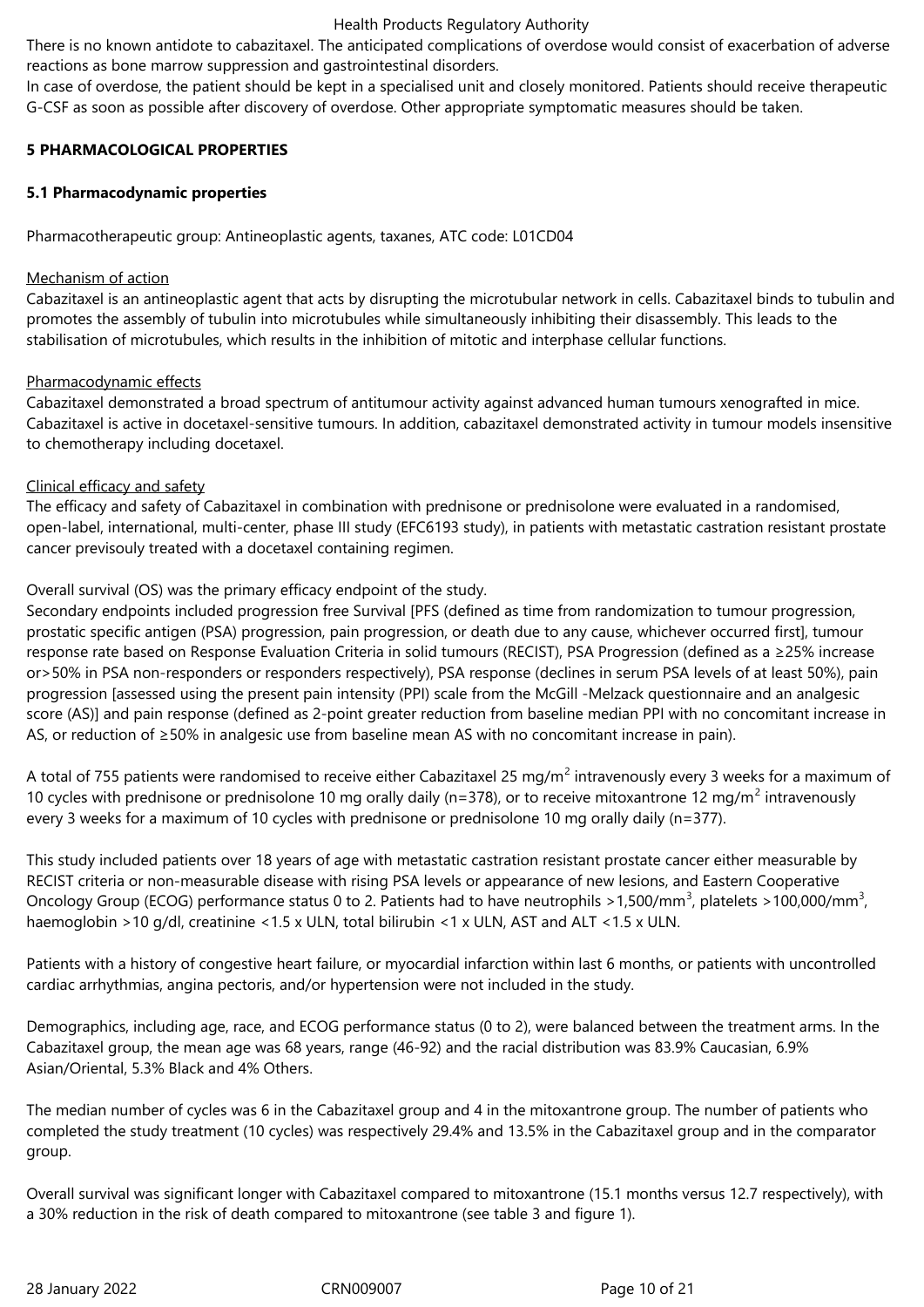There is no known antidote to cabazitaxel. The anticipated complications of overdose would consist of exacerbation of adverse reactions as bone marrow suppression and gastrointestinal disorders.

In case of overdose, the patient should be kept in a specialised unit and closely monitored. Patients should receive therapeutic G-CSF as soon as possible after discovery of overdose. Other appropriate symptomatic measures should be taken.

# **5 PHARMACOLOGICAL PROPERTIES**

# **5.1 Pharmacodynamic properties**

Pharmacotherapeutic group: Antineoplastic agents, taxanes, ATC code: L01CD04

### Mechanism of action

Cabazitaxel is an antineoplastic agent that acts by disrupting the microtubular network in cells. Cabazitaxel binds to tubulin and promotes the assembly of tubulin into microtubules while simultaneously inhibiting their disassembly. This leads to the stabilisation of microtubules, which results in the inhibition of mitotic and interphase cellular functions.

# Pharmacodynamic effects

Cabazitaxel demonstrated a broad spectrum of antitumour activity against advanced human tumours xenografted in mice. Cabazitaxel is active in docetaxel-sensitive tumours. In addition, cabazitaxel demonstrated activity in tumour models insensitive to chemotherapy including docetaxel.

# Clinical efficacy and safety

The efficacy and safety of Cabazitaxel in combination with prednisone or prednisolone were evaluated in a randomised, open-label, international, multi-center, phase III study (EFC6193 study), in patients with metastatic castration resistant prostate cancer previsouly treated with a docetaxel containing regimen.

Overall survival (OS) was the primary efficacy endpoint of the study.

Secondary endpoints included progression free Survival [PFS (defined as time from randomization to tumour progression, prostatic specific antigen (PSA) progression, pain progression, or death due to any cause, whichever occurred first], tumour response rate based on Response Evaluation Criteria in solid tumours (RECIST), PSA Progression (defined as a ≥25% increase or>50% in PSA non-responders or responders respectively), PSA response (declines in serum PSA levels of at least 50%), pain progression [assessed using the present pain intensity (PPI) scale from the McGill -Melzack questionnaire and an analgesic score (AS)] and pain response (defined as 2-point greater reduction from baseline median PPI with no concomitant increase in AS, or reduction of ≥50% in analgesic use from baseline mean AS with no concomitant increase in pain).

A total of 755 patients were randomised to receive either Cabazitaxel 25 mg/m<sup>2</sup> intravenously every 3 weeks for a maximum of 10 cycles with prednisone or prednisolone 10 mg orally daily (n=378), or to receive mitoxantrone 12 mg/m<sup>2</sup> intravenously every 3 weeks for a maximum of 10 cycles with prednisone or prednisolone 10 mg orally daily (n=377).

This study included patients over 18 years of age with metastatic castration resistant prostate cancer either measurable by RECIST criteria or non-measurable disease with rising PSA levels or appearance of new lesions, and Eastern Cooperative Oncology Group (ECOG) performance status 0 to 2. Patients had to have neutrophils >1,500/mm<sup>3</sup>, platelets >100,000/mm<sup>3</sup>, haemoglobin >10 g/dl, creatinine <1.5 x ULN, total bilirubin <1 x ULN, AST and ALT <1.5 x ULN.

Patients with a history of congestive heart failure, or myocardial infarction within last 6 months, or patients with uncontrolled cardiac arrhythmias, angina pectoris, and/or hypertension were not included in the study.

Demographics, including age, race, and ECOG performance status (0 to 2), were balanced between the treatment arms. In the Cabazitaxel group, the mean age was 68 years, range (46-92) and the racial distribution was 83.9% Caucasian, 6.9% Asian/Oriental, 5.3% Black and 4% Others.

The median number of cycles was 6 in the Cabazitaxel group and 4 in the mitoxantrone group. The number of patients who completed the study treatment (10 cycles) was respectively 29.4% and 13.5% in the Cabazitaxel group and in the comparator group.

Overall survival was significant longer with Cabazitaxel compared to mitoxantrone (15.1 months versus 12.7 respectively), with a 30% reduction in the risk of death compared to mitoxantrone (see table 3 and figure 1).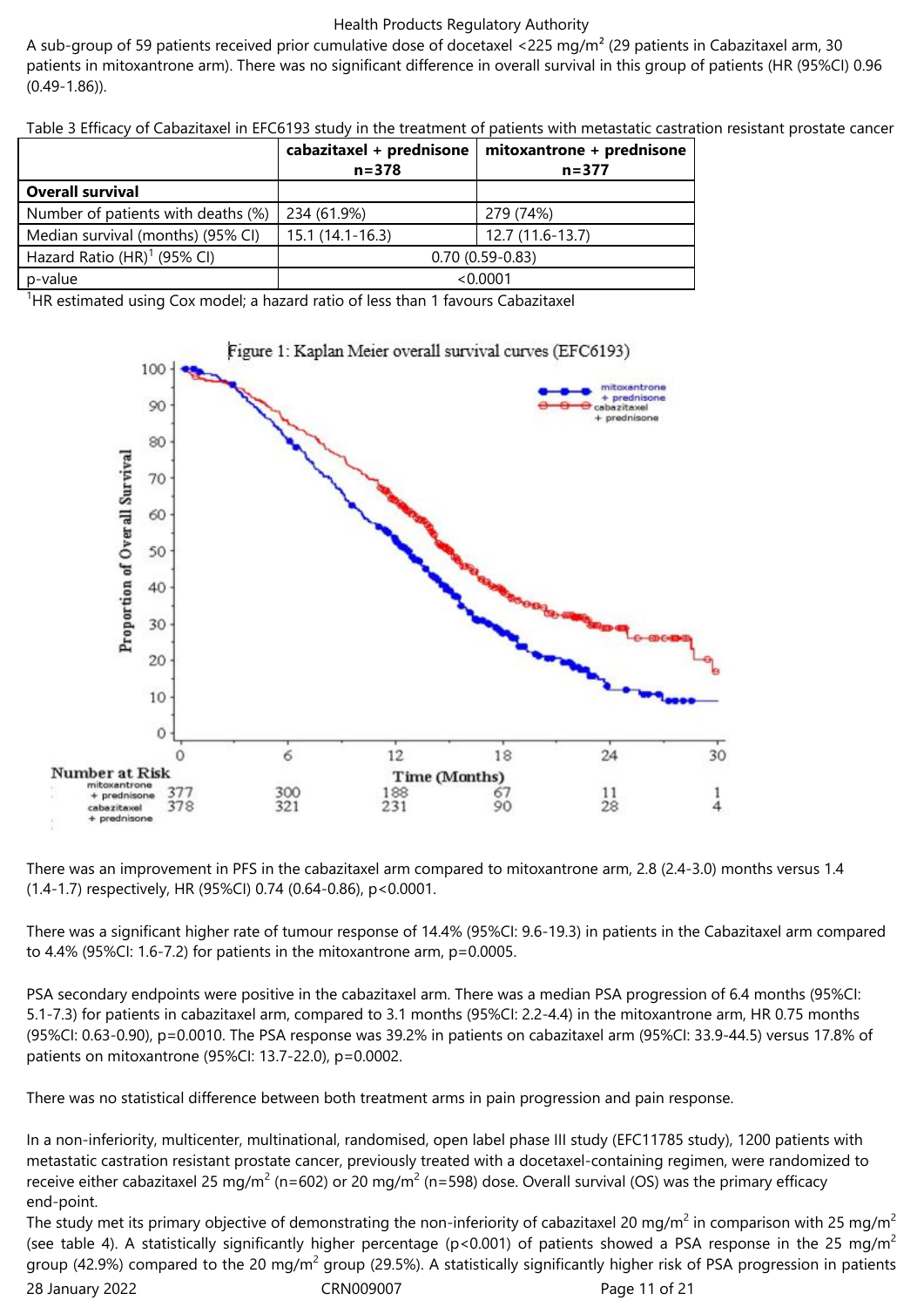A sub-group of 59 patients received prior cumulative dose of docetaxel <225 mg/m<sup>2</sup> (29 patients in Cabazitaxel arm, 30 patients in mitoxantrone arm). There was no significant difference in overall survival in this group of patients (HR (95%CI) 0.96 (0.49-1.86)).

Table 3 Efficacy of Cabazitaxel in EFC6193 study in the treatment of patients with metastatic castration resistant prostate cancer

|                                    | cabazitaxel + prednisone<br>$n = 378$ | mitoxantrone + prednisone<br>$n = 377$ |
|------------------------------------|---------------------------------------|----------------------------------------|
| <b>Overall survival</b>            |                                       |                                        |
| Number of patients with deaths (%) | 234 (61.9%)                           | 279 (74%)                              |
| Median survival (months) (95% CI)  | $15.1(14.1-16.3)$                     | 12.7 (11.6-13.7)                       |
| Hazard Ratio $(HR)^1$ (95% CI)     |                                       | $0.70(0.59-0.83)$                      |
| p-value                            |                                       | < 0.0001                               |

<sup>1</sup>HR estimated using Cox model; a hazard ratio of less than 1 favours Cabazitaxel



There was an improvement in PFS in the cabazitaxel arm compared to mitoxantrone arm, 2.8 (2.4-3.0) months versus 1.4 (1.4-1.7) respectively, HR (95%CI) 0.74 (0.64-0.86), p<0.0001.

There was a significant higher rate of tumour response of 14.4% (95%CI: 9.6-19.3) in patients in the Cabazitaxel arm compared to 4.4% (95%CI: 1.6-7.2) for patients in the mitoxantrone arm, p=0.0005.

PSA secondary endpoints were positive in the cabazitaxel arm. There was a median PSA progression of 6.4 months (95%CI: 5.1-7.3) for patients in cabazitaxel arm, compared to 3.1 months (95%CI: 2.2-4.4) in the mitoxantrone arm, HR 0.75 months (95%CI: 0.63-0.90), p=0.0010. The PSA response was 39.2% in patients on cabazitaxel arm (95%CI: 33.9-44.5) versus 17.8% of patients on mitoxantrone (95%CI: 13.7-22.0), p=0.0002.

There was no statistical difference between both treatment arms in pain progression and pain response.

In a non-inferiority, multicenter, multinational, randomised, open label phase III study (EFC11785 study), 1200 patients with metastatic castration resistant prostate cancer, previously treated with a docetaxel-containing regimen, were randomized to receive either cabazitaxel 25 mg/m<sup>2</sup> (n=602) or 20 mg/m<sup>2</sup> (n=598) dose. Overall survival (OS) was the primary efficacy end-point.

28 January 2022 CRN009007 Page 11 of 21 The study met its primary objective of demonstrating the non-inferiority of cabazitaxel 20 mg/m<sup>2</sup> in comparison with 25 mg/m<sup>2</sup> (see table 4). A statistically significantly higher percentage ( $p$ <0.001) of patients showed a PSA response in the 25 mg/m<sup>2</sup> group (42.9%) compared to the 20 mg/m<sup>2</sup> group (29.5%). A statistically significantly higher risk of PSA progression in patients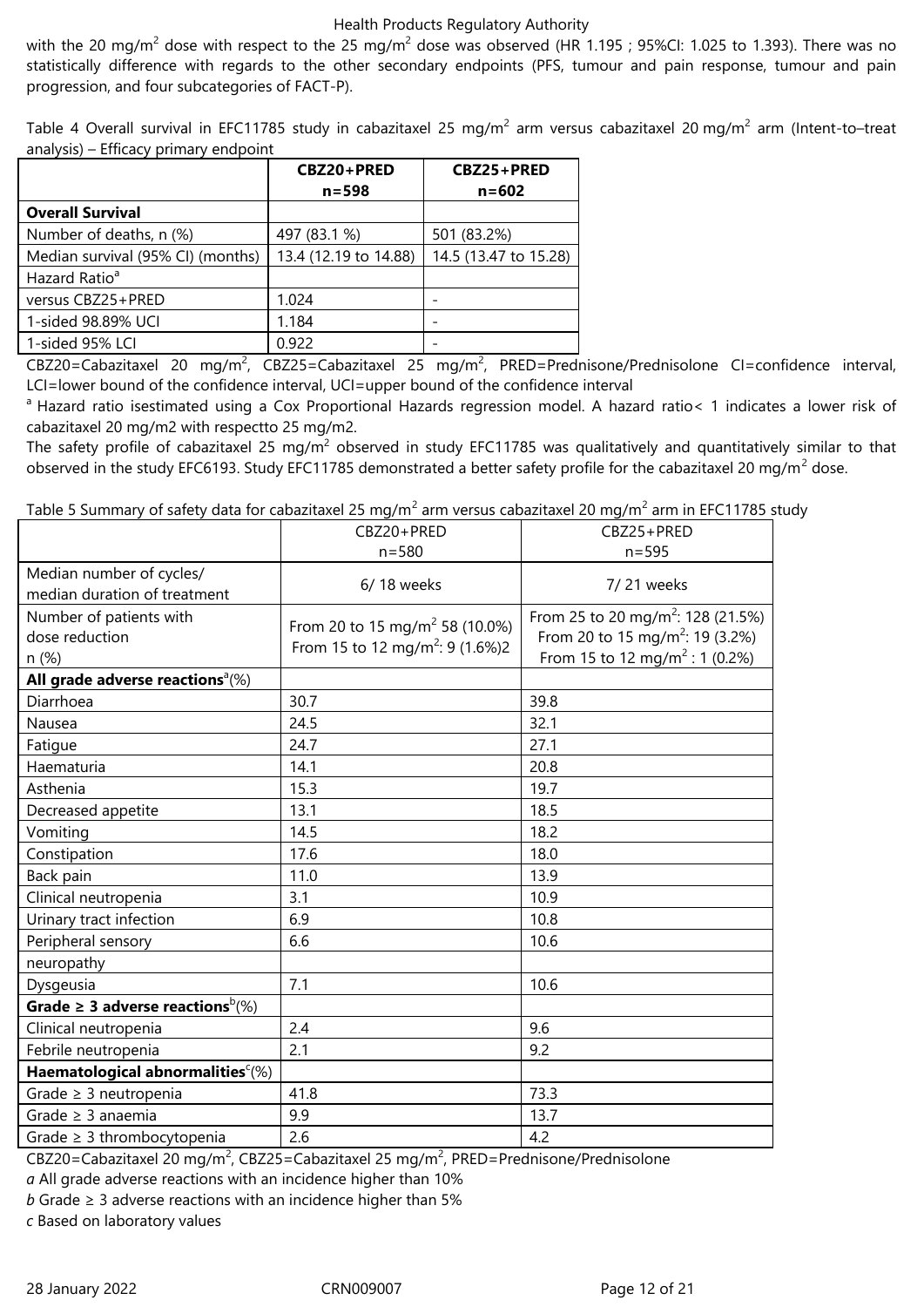with the 20 mg/m $^2$  dose with respect to the 25 mg/m $^2$  dose was observed (HR 1.195 ; 95%Cl: 1.025 to 1.393). There was no statistically difference with regards to the other secondary endpoints (PFS, tumour and pain response, tumour and pain progression, and four subcategories of FACT-P).

Table 4 Overall survival in EFC11785 study in cabazitaxel 25 mg/m $^2$  arm versus cabazitaxel 20 mg/m $^2$  arm (Intent-to–treat analysis) – Efficacy primary endpoint

|                                   | CBZ20+PRED            | CBZ25+PRED            |
|-----------------------------------|-----------------------|-----------------------|
|                                   | $n = 598$             | $n = 602$             |
| <b>Overall Survival</b>           |                       |                       |
| Number of deaths, n (%)           | 497 (83.1 %)          | 501 (83.2%)           |
| Median survival (95% CI) (months) | 13.4 (12.19 to 14.88) | 14.5 (13.47 to 15.28) |
| Hazard Ratio <sup>a</sup>         |                       |                       |
| versus CBZ25+PRED                 | 1.024                 |                       |
| 1-sided 98.89% UCI                | 1.184                 |                       |
| 1-sided 95% LCI                   | 0.922                 |                       |

CBZ20=Cabazitaxel 20 mg/m<sup>2</sup>, CBZ25=Cabazitaxel 25 mg/m<sup>2</sup>, PRED=Prednisone/Prednisolone CI=confidence interval, LCI=lower bound of the confidence interval, UCI=upper bound of the confidence interval

<sup>a</sup> Hazard ratio isestimated using a Cox Proportional Hazards regression model. A hazard ratio< 1 indicates a lower risk of cabazitaxel 20 mg/m2 with respectto 25 mg/m2.

The safety profile of cabazitaxel 25 mg/m $^2$  observed in study EFC11785 was qualitatively and quantitatively similar to that observed in the study EFC6193. Study EFC11785 demonstrated a better safety profile for the cabazitaxel 20 mg/m<sup>2</sup> dose.

Table 5 Summary of safety data for cabazitaxel 25 mg/m $^2$  arm versus cabazitaxel 20 mg/m $^2$  arm in EFC11785 study

|                                                           | CBZ20+PRED                                                                                | CBZ25+PRED                                                                                                                                 |
|-----------------------------------------------------------|-------------------------------------------------------------------------------------------|--------------------------------------------------------------------------------------------------------------------------------------------|
|                                                           | $n = 580$                                                                                 | $n = 595$                                                                                                                                  |
| Median number of cycles/<br>median duration of treatment  | 6/18 weeks                                                                                | 7/21 weeks                                                                                                                                 |
| Number of patients with<br>dose reduction<br>n (%)        | From 20 to 15 mg/m <sup>2</sup> 58 (10.0%)<br>From 15 to 12 mg/m <sup>2</sup> : 9 (1.6%)2 | From 25 to 20 mg/m <sup>2</sup> : 128 (21.5%)<br>From 20 to 15 mg/m <sup>2</sup> : 19 (3.2%)<br>From 15 to 12 mg/m <sup>2</sup> : 1 (0.2%) |
| All grade adverse reactions <sup><math>a</math></sup> (%) |                                                                                           |                                                                                                                                            |
| Diarrhoea                                                 | 30.7                                                                                      | 39.8                                                                                                                                       |
| Nausea                                                    | 24.5                                                                                      | 32.1                                                                                                                                       |
| Fatigue                                                   | 24.7                                                                                      | 27.1                                                                                                                                       |
| Haematuria                                                | 14.1                                                                                      | 20.8                                                                                                                                       |
| Asthenia                                                  | 15.3                                                                                      | 19.7                                                                                                                                       |
| Decreased appetite                                        | 13.1                                                                                      | 18.5                                                                                                                                       |
| Vomiting                                                  | 14.5                                                                                      | 18.2                                                                                                                                       |
| Constipation                                              | 17.6                                                                                      | 18.0                                                                                                                                       |
| Back pain                                                 | 11.0                                                                                      | 13.9                                                                                                                                       |
| Clinical neutropenia                                      | 3.1                                                                                       | 10.9                                                                                                                                       |
| Urinary tract infection                                   | 6.9                                                                                       | 10.8                                                                                                                                       |
| Peripheral sensory                                        | 6.6                                                                                       | 10.6                                                                                                                                       |
| neuropathy                                                |                                                                                           |                                                                                                                                            |
| Dysgeusia                                                 | 7.1                                                                                       | 10.6                                                                                                                                       |
| Grade $\geq$ 3 adverse reactions <sup>b</sup> (%)         |                                                                                           |                                                                                                                                            |
| Clinical neutropenia                                      | 2.4                                                                                       | 9.6                                                                                                                                        |
| Febrile neutropenia                                       | 2.1                                                                                       | 9.2                                                                                                                                        |
| Haematological abnormalities <sup>c(%)</sup>              |                                                                                           |                                                                                                                                            |
| Grade $\geq$ 3 neutropenia                                | 41.8                                                                                      | 73.3                                                                                                                                       |
| Grade $\geq$ 3 anaemia                                    | 9.9                                                                                       | 13.7                                                                                                                                       |
| Grade $\geq$ 3 thrombocytopenia                           | 2.6                                                                                       | 4.2                                                                                                                                        |

CBZ20=Cabazitaxel 20 mg/m<sup>2</sup>, CBZ25=Cabazitaxel 25 mg/m<sup>2</sup>, PRED=Prednisone/Prednisolone

*a* All grade adverse reactions with an incidence higher than 10%

*b* Grade  $\geq$  3 adverse reactions with an incidence higher than 5%

*c* Based on laboratory values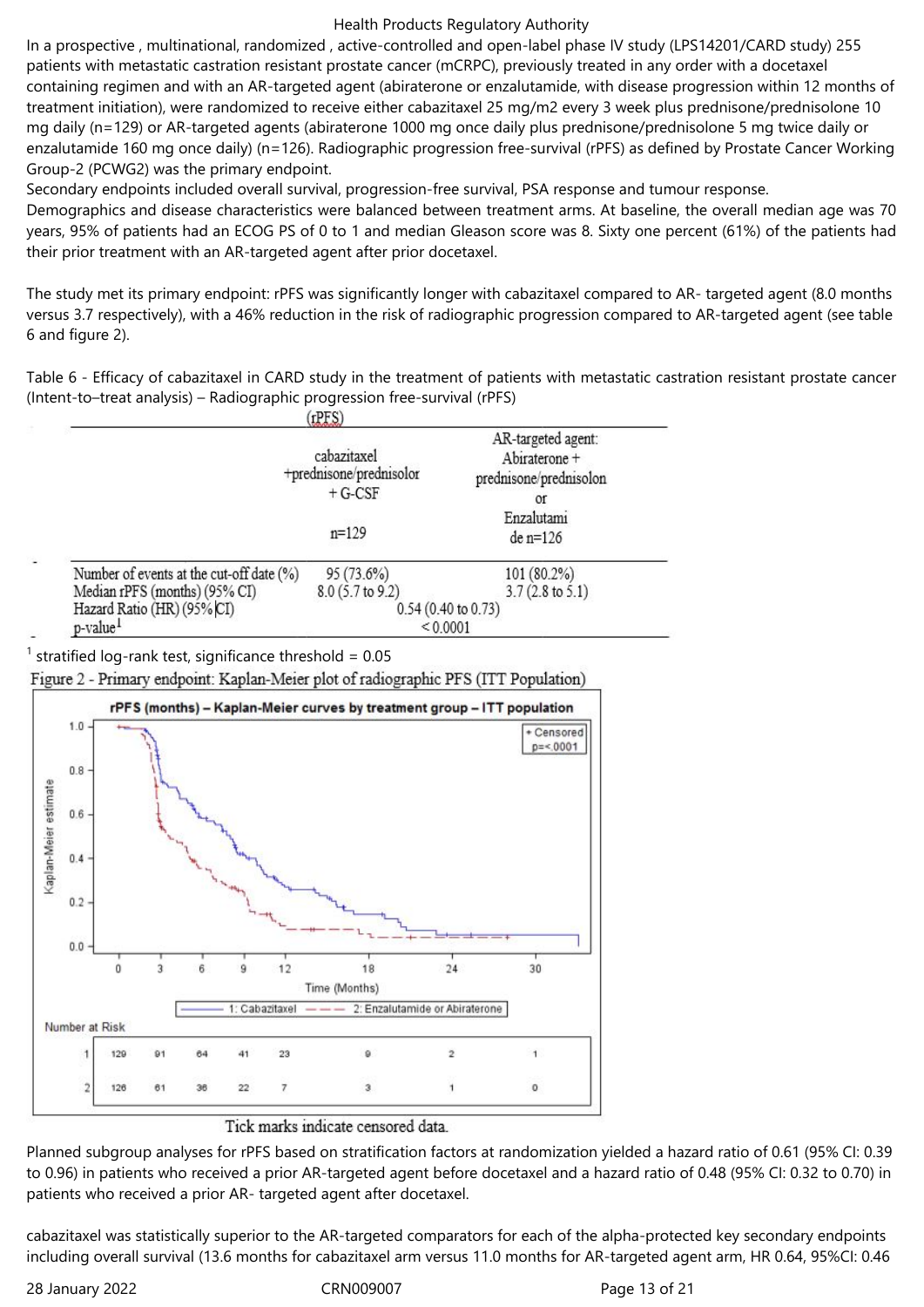In a prospective , multinational, randomized , active-controlled and open-label phase IV study (LPS14201/CARD study) 255 patients with metastatic castration resistant prostate cancer (mCRPC), previously treated in any order with a docetaxel containing regimen and with an AR-targeted agent (abiraterone or enzalutamide, with disease progression within 12 months of treatment initiation), were randomized to receive either cabazitaxel 25 mg/m2 every 3 week plus prednisone/prednisolone 10 mg daily (n=129) or AR-targeted agents (abiraterone 1000 mg once daily plus prednisone/prednisolone 5 mg twice daily or enzalutamide 160 mg once daily) (n=126). Radiographic progression free-survival (rPFS) as defined by Prostate Cancer Working Group-2 (PCWG2) was the primary endpoint.

Secondary endpoints included overall survival, progression-free survival, PSA response and tumour response. Demographics and disease characteristics were balanced between treatment arms. At baseline, the overall median age was 70 years, 95% of patients had an ECOG PS of 0 to 1 and median Gleason score was 8. Sixty one percent (61%) of the patients had their prior treatment with an AR-targeted agent after prior docetaxel.

The study met its primary endpoint: rPFS was significantly longer with cabazitaxel compared to AR- targeted agent (8.0 months versus 3.7 respectively), with a 46% reduction in the risk of radiographic progression compared to AR-targeted agent (see table 6 and figure 2).

Table 6 - Efficacy of cabazitaxel in CARD study in the treatment of patients with metastatic castration resistant prostate cancer (Intent-to–treat analysis) – Radiographic progression free-survival (rPFS)

|                                          | cabazitaxel<br>+prednisone/prednisolor<br>$+ G-CSF$ | AR-targeted agent:<br>Abiraterone +<br>prednisone/prednisolon<br>0f |
|------------------------------------------|-----------------------------------------------------|---------------------------------------------------------------------|
|                                          | $n=129$                                             | Enzalutami<br>$de$ n=126                                            |
| Number of events at the cut-off date (%) | 95 (73.6%)                                          | 101 (80.2%)                                                         |
| Median rPFS (months) (95% CI)            | 8.0 (5.7 to 9.2)                                    | $3.7(2.8 \text{ to } 5.1)$                                          |
| Hazard Ratio (HR) (95% CI)               |                                                     | 0.54 (0.40 to 0.73)                                                 |
| p-value <sup>1</sup>                     |                                                     | < 0.0001                                                            |

<sup>1</sup> stratified log-rank test, significance threshold =  $0.05$ 

Figure 2 - Primary endpoint: Kaplan-Meier plot of radiographic PFS (ITT Population)



### Tick marks indicate censored data.

Planned subgroup analyses for rPFS based on stratification factors at randomization yielded a hazard ratio of 0.61 (95% CI: 0.39 to 0.96) in patients who received a prior AR-targeted agent before docetaxel and a hazard ratio of 0.48 (95% CI: 0.32 to 0.70) in patients who received a prior AR- targeted agent after docetaxel.

cabazitaxel was statistically superior to the AR-targeted comparators for each of the alpha-protected key secondary endpoints including overall survival (13.6 months for cabazitaxel arm versus 11.0 months for AR-targeted agent arm, HR 0.64, 95%CI: 0.46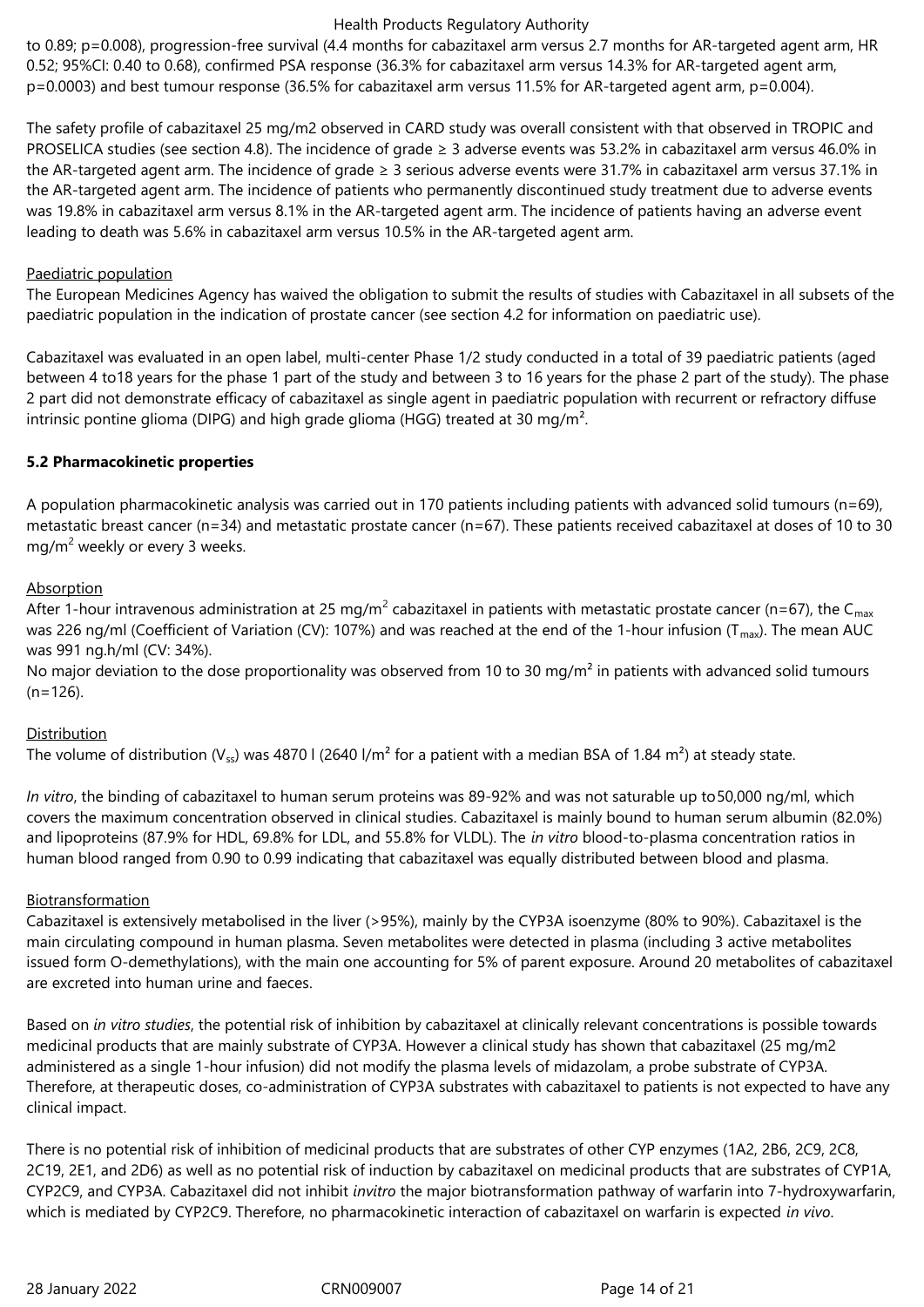to 0.89; p=0.008), progression-free survival (4.4 months for cabazitaxel arm versus 2.7 months for AR-targeted agent arm, HR 0.52; 95%CI: 0.40 to 0.68), confirmed PSA response (36.3% for cabazitaxel arm versus 14.3% for AR-targeted agent arm, p=0.0003) and best tumour response (36.5% for cabazitaxel arm versus 11.5% for AR-targeted agent arm, p=0.004).

The safety profile of cabazitaxel 25 mg/m2 observed in CARD study was overall consistent with that observed in TROPIC and PROSELICA studies (see section 4.8). The incidence of grade ≥ 3 adverse events was 53.2% in cabazitaxel arm versus 46.0% in the AR-targeted agent arm. The incidence of grade ≥ 3 serious adverse events were 31.7% in cabazitaxel arm versus 37.1% in the AR-targeted agent arm. The incidence of patients who permanently discontinued study treatment due to adverse events was 19.8% in cabazitaxel arm versus 8.1% in the AR-targeted agent arm. The incidence of patients having an adverse event leading to death was 5.6% in cabazitaxel arm versus 10.5% in the AR-targeted agent arm.

### Paediatric population

The European Medicines Agency has waived the obligation to submit the results of studies with Cabazitaxel in all subsets of the paediatric population in the indication of prostate cancer (see section 4.2 for information on paediatric use).

Cabazitaxel was evaluated in an open label, multi-center Phase 1/2 study conducted in a total of 39 paediatric patients (aged between 4 to18 years for the phase 1 part of the study and between 3 to 16 years for the phase 2 part of the study). The phase 2 part did not demonstrate efficacy of cabazitaxel as single agent in paediatric population with recurrent or refractory diffuse intrinsic pontine glioma (DIPG) and high grade glioma (HGG) treated at 30 mg/m².

# **5.2 Pharmacokinetic properties**

A population pharmacokinetic analysis was carried out in 170 patients including patients with advanced solid tumours (n=69), metastatic breast cancer (n=34) and metastatic prostate cancer (n=67). These patients received cabazitaxel at doses of 10 to 30 mg/m<sup>2</sup> weekly or every 3 weeks.

# Absorption

After 1-hour intravenous administration at 25 mg/m<sup>2</sup> cabazitaxel in patients with metastatic prostate cancer (n=67), the C<sub>max</sub> was 226 ng/ml (Coefficient of Variation (CV): 107%) and was reached at the end of the 1-hour infusion (T<sub>max</sub>). The mean AUC was 991 ng.h/ml (CV: 34%).

No major deviation to the dose proportionality was observed from 10 to 30 mg/m<sup>2</sup> in patients with advanced solid tumours  $(n=126)$ .

# Distribution

The volume of distribution (V<sub>ss</sub>) was 4870 I (2640 I/m<sup>2</sup> for a patient with a median BSA of 1.84 m<sup>2</sup>) at steady state.

*In vitro*, the binding of cabazitaxel to human serum proteins was 89-92% and was not saturable up to50,000 ng/ml, which covers the maximum concentration observed in clinical studies. Cabazitaxel is mainly bound to human serum albumin (82.0%) and lipoproteins (87.9% for HDL, 69.8% for LDL, and 55.8% for VLDL). The *in vitro* blood-to-plasma concentration ratios in human blood ranged from 0.90 to 0.99 indicating that cabazitaxel was equally distributed between blood and plasma.

### Biotransformation

Cabazitaxel is extensively metabolised in the liver (>95%), mainly by the CYP3A isoenzyme (80% to 90%). Cabazitaxel is the main circulating compound in human plasma. Seven metabolites were detected in plasma (including 3 active metabolites issued form O-demethylations), with the main one accounting for 5% of parent exposure. Around 20 metabolites of cabazitaxel are excreted into human urine and faeces.

Based on *in vitro studies*, the potential risk of inhibition by cabazitaxel at clinically relevant concentrations is possible towards medicinal products that are mainly substrate of CYP3A. However a clinical study has shown that cabazitaxel (25 mg/m2 administered as a single 1-hour infusion) did not modify the plasma levels of midazolam, a probe substrate of CYP3A. Therefore, at therapeutic doses, co-administration of CYP3A substrates with cabazitaxel to patients is not expected to have any clinical impact.

There is no potential risk of inhibition of medicinal products that are substrates of other CYP enzymes (1A2, 2B6, 2C9, 2C8, 2C19, 2E1, and 2D6) as well as no potential risk of induction by cabazitaxel on medicinal products that are substrates of CYP1A, CYP2C9, and CYP3A. Cabazitaxel did not inhibit *invitro* the major biotransformation pathway of warfarin into 7-hydroxywarfarin, which is mediated by CYP2C9. Therefore, no pharmacokinetic interaction of cabazitaxel on warfarin is expected *in vivo*.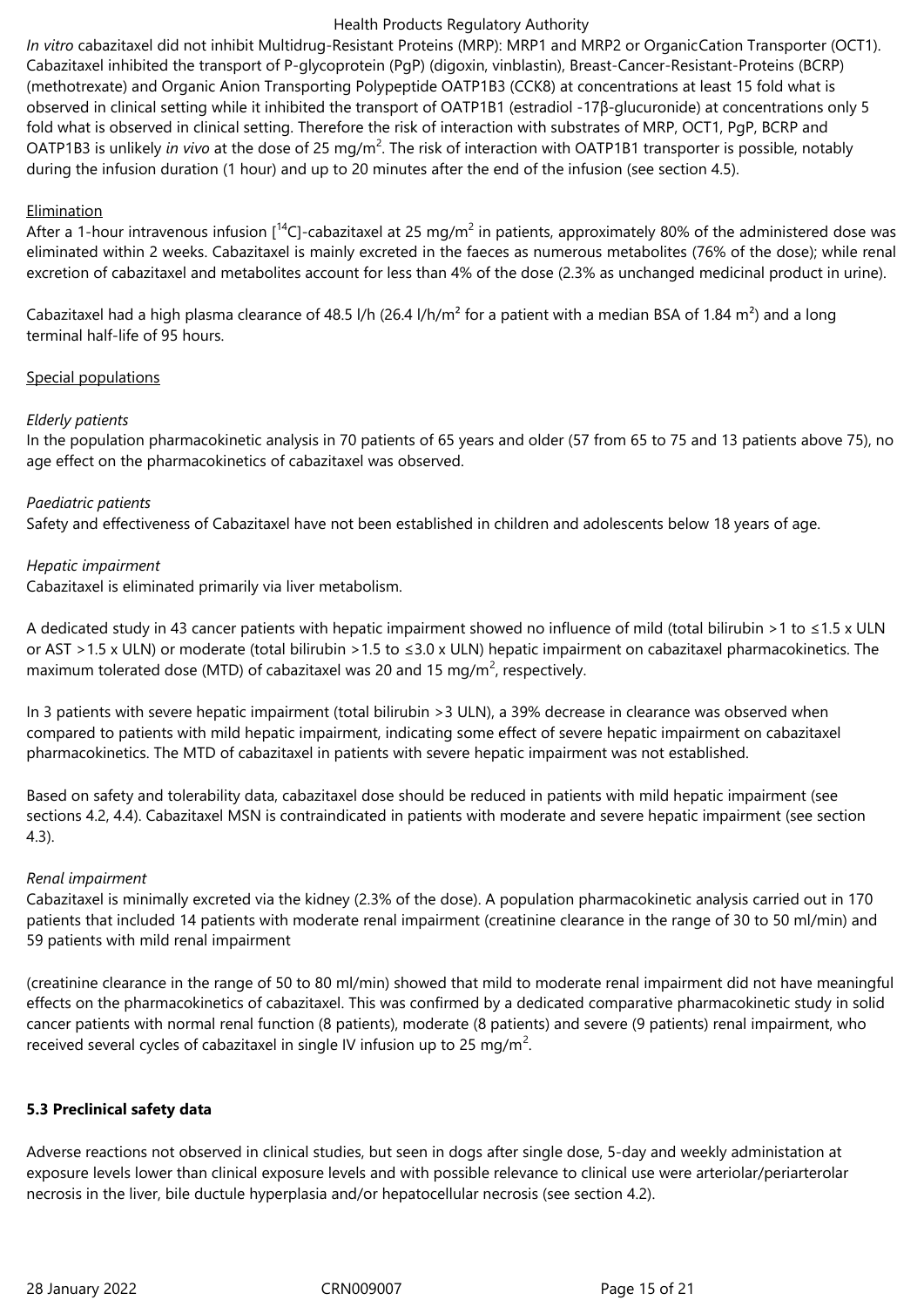*In vitro* cabazitaxel did not inhibit Multidrug-Resistant Proteins (MRP): MRP1 and MRP2 or OrganicCation Transporter (OCT1). Cabazitaxel inhibited the transport of P-glycoprotein (PgP) (digoxin, vinblastin), Breast-Cancer-Resistant-Proteins (BCRP) (methotrexate) and Organic Anion Transporting Polypeptide OATP1B3 (CCK8) at concentrations at least 15 fold what is observed in clinical setting while it inhibited the transport of OATP1B1 (estradiol -17β-glucuronide) at concentrations only 5 fold what is observed in clinical setting. Therefore the risk of interaction with substrates of MRP, OCT1, PgP, BCRP and OATP1B3 is unlikely *in vivo* at the dose of 25 mg/m<sup>2</sup>. The risk of interaction with OATP1B1 transporter is possible, notably during the infusion duration (1 hour) and up to 20 minutes after the end of the infusion (see section 4.5).

# **Elimination**

After a 1-hour intravenous infusion [<sup>14</sup>C]-cabazitaxel at 25 mg/m<sup>2</sup> in patients, approximately 80% of the administered dose was eliminated within 2 weeks. Cabazitaxel is mainly excreted in the faeces as numerous metabolites (76% of the dose); while renal excretion of cabazitaxel and metabolites account for less than 4% of the dose (2.3% as unchanged medicinal product in urine).

Cabazitaxel had a high plasma clearance of 48.5 l/h (26.4 l/h/m<sup>2</sup> for a patient with a median BSA of 1.84 m<sup>2</sup>) and a long terminal half-life of 95 hours.

# Special populations

# *Elderly patients*

In the population pharmacokinetic analysis in 70 patients of 65 years and older (57 from 65 to 75 and 13 patients above 75), no age effect on the pharmacokinetics of cabazitaxel was observed.

# *Paediatric patients*

Safety and effectiveness of Cabazitaxel have not been established in children and adolescents below 18 years of age.

# *Hepatic impairment*

Cabazitaxel is eliminated primarily via liver metabolism.

A dedicated study in 43 cancer patients with hepatic impairment showed no influence of mild (total bilirubin >1 to ≤1.5 x ULN or AST >1.5 x ULN) or moderate (total bilirubin >1.5 to ≤3.0 x ULN) hepatic impairment on cabazitaxel pharmacokinetics. The maximum tolerated dose (MTD) of cabazitaxel was 20 and 15 mg/m<sup>2</sup>, respectively.

In 3 patients with severe hepatic impairment (total bilirubin >3 ULN), a 39% decrease in clearance was observed when compared to patients with mild hepatic impairment, indicating some effect of severe hepatic impairment on cabazitaxel pharmacokinetics. The MTD of cabazitaxel in patients with severe hepatic impairment was not established.

Based on safety and tolerability data, cabazitaxel dose should be reduced in patients with mild hepatic impairment (see sections 4.2, 4.4). Cabazitaxel MSN is contraindicated in patients with moderate and severe hepatic impairment (see section 4.3).

### *Renal impairment*

Cabazitaxel is minimally excreted via the kidney (2.3% of the dose). A population pharmacokinetic analysis carried out in 170 patients that included 14 patients with moderate renal impairment (creatinine clearance in the range of 30 to 50 ml/min) and 59 patients with mild renal impairment

(creatinine clearance in the range of 50 to 80 ml/min) showed that mild to moderate renal impairment did not have meaningful effects on the pharmacokinetics of cabazitaxel. This was confirmed by a dedicated comparative pharmacokinetic study in solid cancer patients with normal renal function (8 patients), moderate (8 patients) and severe (9 patients) renal impairment, who received several cycles of cabazitaxel in single IV infusion up to 25 mg/m<sup>2</sup>.

### **5.3 Preclinical safety data**

Adverse reactions not observed in clinical studies, but seen in dogs after single dose, 5-day and weekly administation at exposure levels lower than clinical exposure levels and with possible relevance to clinical use were arteriolar/periarterolar necrosis in the liver, bile ductule hyperplasia and/or hepatocellular necrosis (see section 4.2).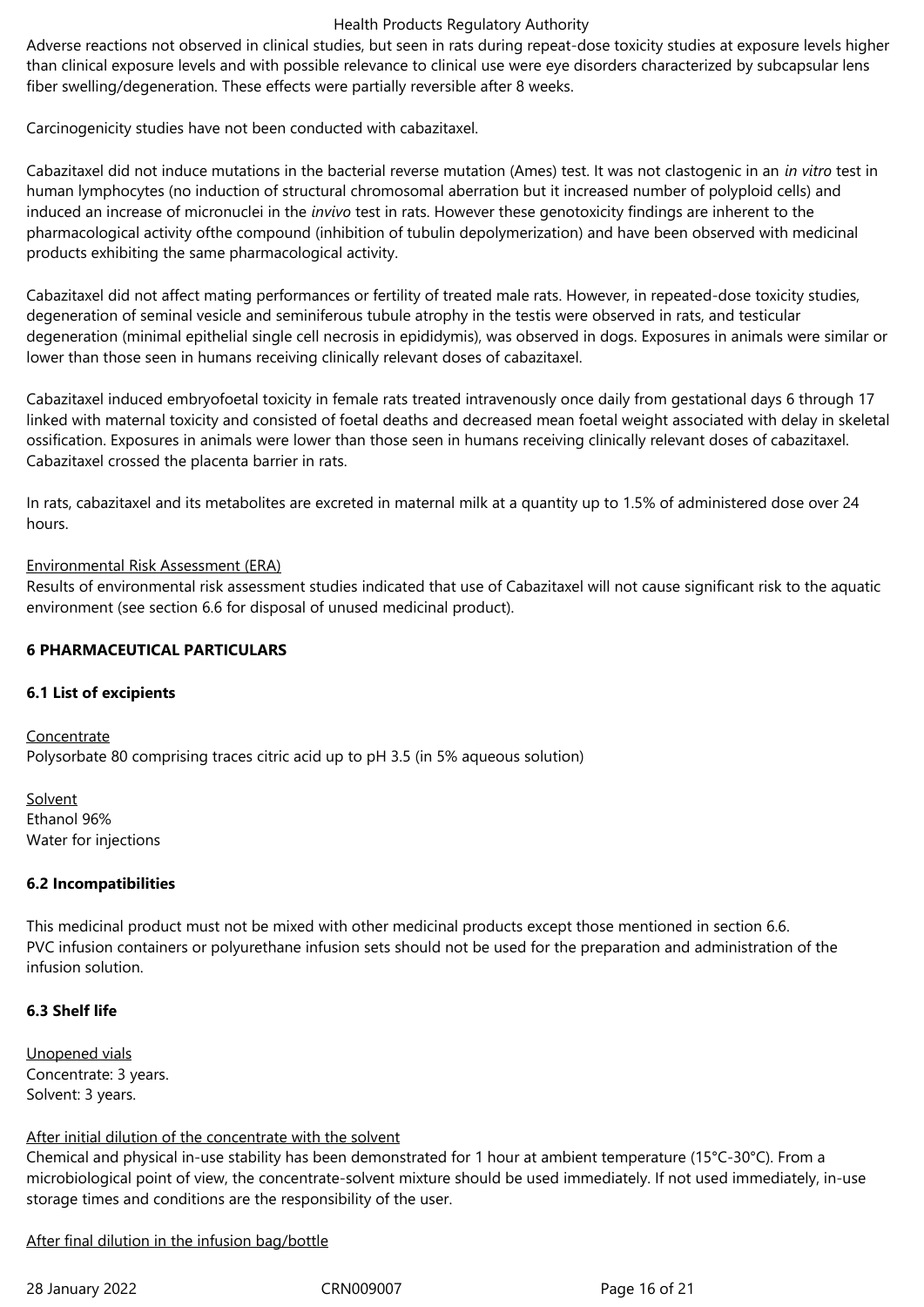Adverse reactions not observed in clinical studies, but seen in rats during repeat-dose toxicity studies at exposure levels higher than clinical exposure levels and with possible relevance to clinical use were eye disorders characterized by subcapsular lens fiber swelling/degeneration. These effects were partially reversible after 8 weeks.

Carcinogenicity studies have not been conducted with cabazitaxel.

Cabazitaxel did not induce mutations in the bacterial reverse mutation (Ames) test. It was not clastogenic in an *in vitro* test in human lymphocytes (no induction of structural chromosomal aberration but it increased number of polyploid cells) and induced an increase of micronuclei in the *invivo* test in rats. However these genotoxicity findings are inherent to the pharmacological activity ofthe compound (inhibition of tubulin depolymerization) and have been observed with medicinal products exhibiting the same pharmacological activity.

Cabazitaxel did not affect mating performances or fertility of treated male rats. However, in repeated-dose toxicity studies, degeneration of seminal vesicle and seminiferous tubule atrophy in the testis were observed in rats, and testicular degeneration (minimal epithelial single cell necrosis in epididymis), was observed in dogs. Exposures in animals were similar or lower than those seen in humans receiving clinically relevant doses of cabazitaxel.

Cabazitaxel induced embryofoetal toxicity in female rats treated intravenously once daily from gestational days 6 through 17 linked with maternal toxicity and consisted of foetal deaths and decreased mean foetal weight associated with delay in skeletal ossification. Exposures in animals were lower than those seen in humans receiving clinically relevant doses of cabazitaxel. Cabazitaxel crossed the placenta barrier in rats.

In rats, cabazitaxel and its metabolites are excreted in maternal milk at a quantity up to 1.5% of administered dose over 24 hours.

### Environmental Risk Assessment (ERA)

Results of environmental risk assessment studies indicated that use of Cabazitaxel will not cause significant risk to the aquatic environment (see section 6.6 for disposal of unused medicinal product).

# **6 PHARMACEUTICAL PARTICULARS**

### **6.1 List of excipients**

Concentrate Polysorbate 80 comprising traces citric acid up to pH 3.5 (in 5% aqueous solution)

Solvent Ethanol 96% Water for injections

### **6.2 Incompatibilities**

This medicinal product must not be mixed with other medicinal products except those mentioned in section 6.6. PVC infusion containers or polyurethane infusion sets should not be used for the preparation and administration of the infusion solution.

### **6.3 Shelf life**

Unopened vials Concentrate: 3 years. Solvent: 3 years.

### After initial dilution of the concentrate with the solvent

Chemical and physical in-use stability has been demonstrated for 1 hour at ambient temperature (15°C-30°C). From a microbiological point of view, the concentrate-solvent mixture should be used immediately. If not used immediately, in-use storage times and conditions are the responsibility of the user.

After final dilution in the infusion bag/bottle

28 January 2022 CRN009007 Page 16 of 21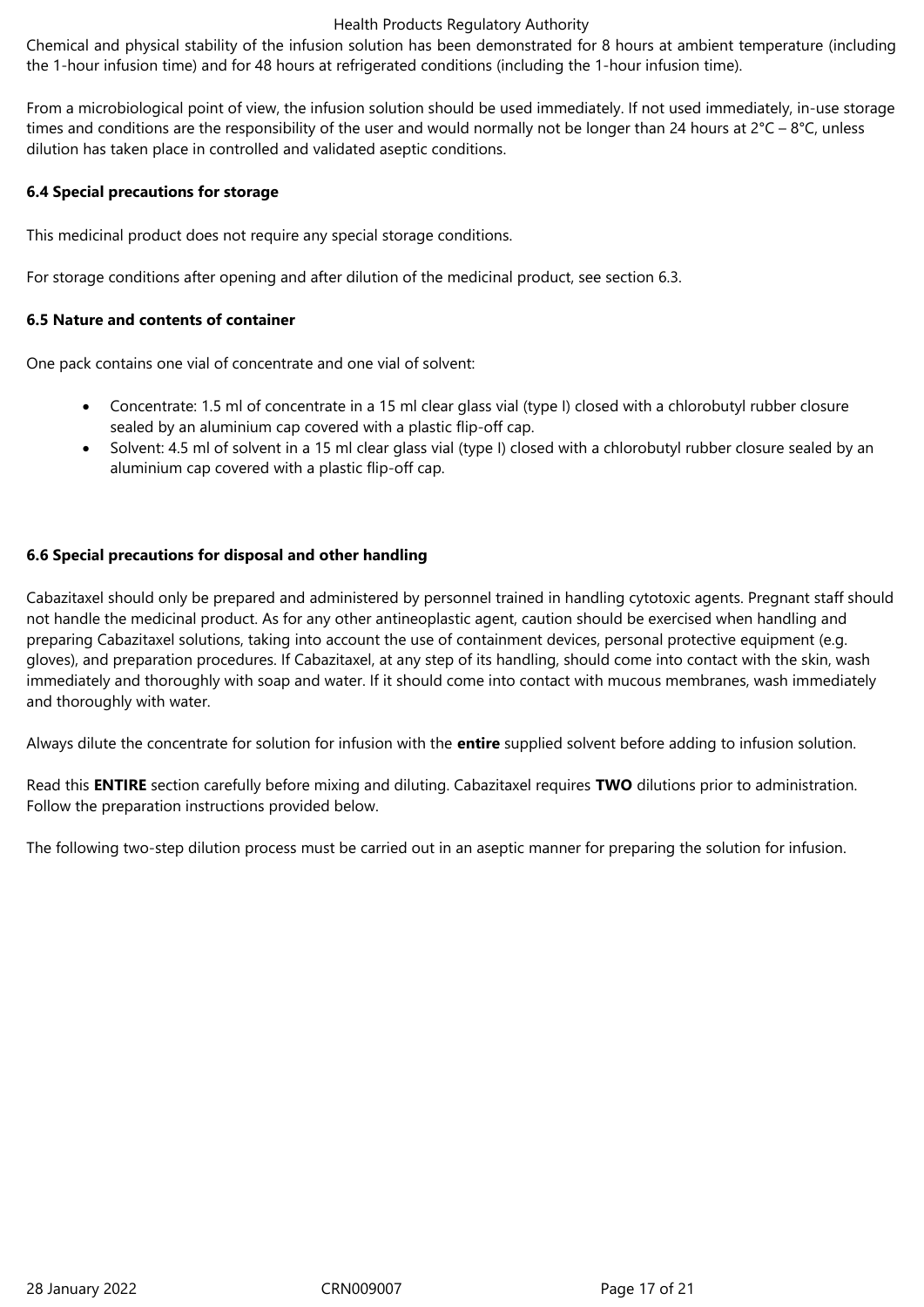Chemical and physical stability of the infusion solution has been demonstrated for 8 hours at ambient temperature (including the 1-hour infusion time) and for 48 hours at refrigerated conditions (including the 1-hour infusion time).

From a microbiological point of view, the infusion solution should be used immediately. If not used immediately, in-use storage times and conditions are the responsibility of the user and would normally not be longer than 24 hours at  $2^{\circ}C - 8^{\circ}C$ , unless dilution has taken place in controlled and validated aseptic conditions.

# **6.4 Special precautions for storage**

This medicinal product does not require any special storage conditions.

For storage conditions after opening and after dilution of the medicinal product, see section 6.3.

# **6.5 Nature and contents of container**

One pack contains one vial of concentrate and one vial of solvent:

- Concentrate: 1.5 ml of concentrate in a 15 ml clear glass vial (type I) closed with a chlorobutyl rubber closure sealed by an aluminium cap covered with a plastic flip-off cap.
- Solvent: 4.5 ml of solvent in a 15 ml clear glass vial (type I) closed with a chlorobutyl rubber closure sealed by an aluminium cap covered with a plastic flip-off cap.

# **6.6 Special precautions for disposal and other handling**

Cabazitaxel should only be prepared and administered by personnel trained in handling cytotoxic agents. Pregnant staff should not handle the medicinal product. As for any other antineoplastic agent, caution should be exercised when handling and preparing Cabazitaxel solutions, taking into account the use of containment devices, personal protective equipment (e.g. gloves), and preparation procedures. If Cabazitaxel, at any step of its handling, should come into contact with the skin, wash immediately and thoroughly with soap and water. If it should come into contact with mucous membranes, wash immediately and thoroughly with water.

Always dilute the concentrate for solution for infusion with the **entire** supplied solvent before adding to infusion solution.

Read this **ENTIRE** section carefully before mixing and diluting. Cabazitaxel requires **TWO** dilutions prior to administration. Follow the preparation instructions provided below.

The following two-step dilution process must be carried out in an aseptic manner for preparing the solution for infusion.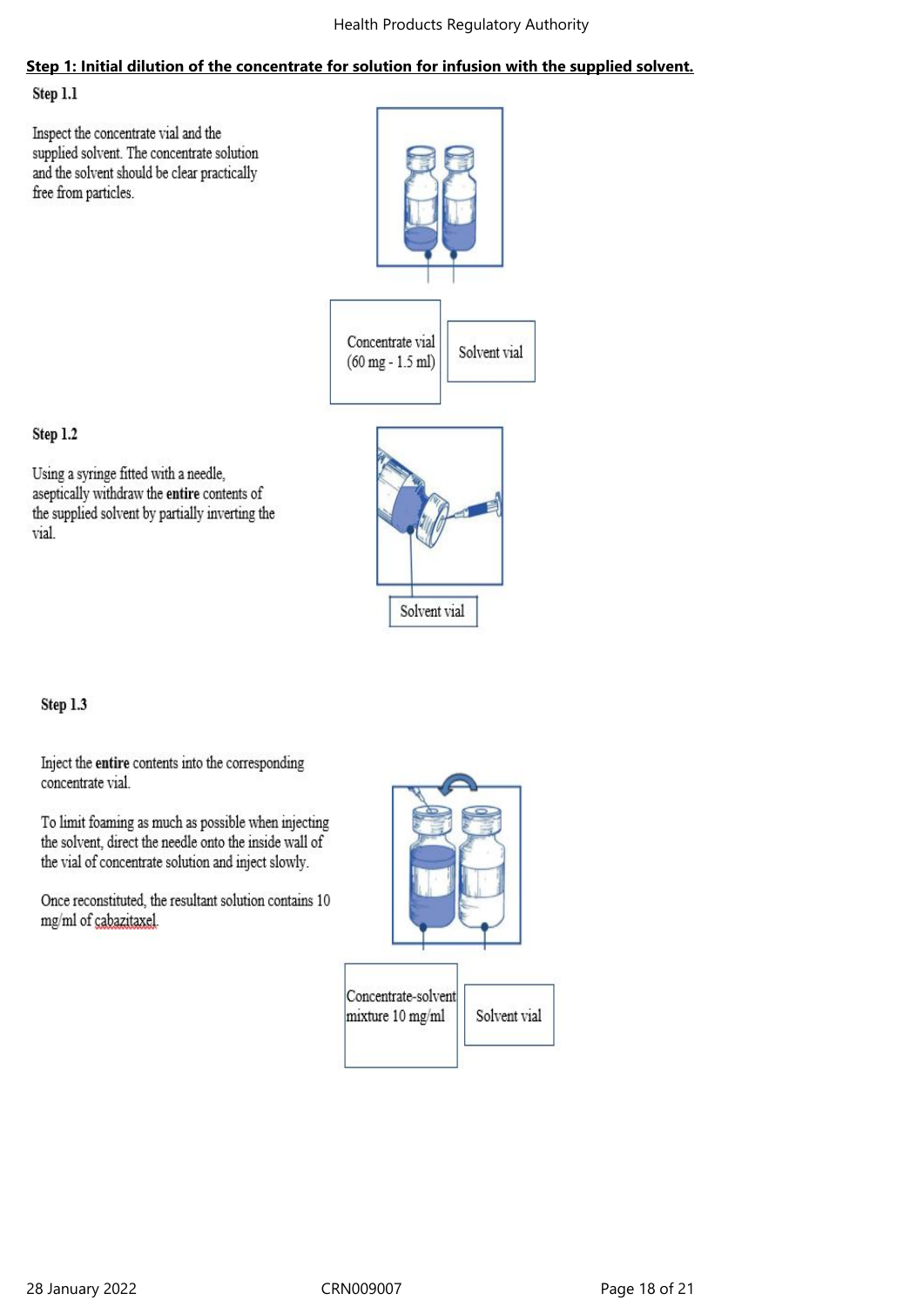# **Step 1: Initial dilution of the concentrate for solution for infusion with the supplied solvent.**

Step 1.1

Inspect the concentrate vial and the supplied solvent. The concentrate solution and the solvent should be clear practically free from particles.



Solvent vial

# Step 1.2

Using a syringe fitted with a needle, aseptically withdraw the entire contents of the supplied solvent by partially inverting the vial.



Inject the entire contents into the corresponding concentrate vial.

To limit foaming as much as possible when injecting the solvent, direct the needle onto the inside wall of the vial of concentrate solution and inject slowly.

Once reconstituted, the resultant solution contains 10 mg/ml of cabazitaxel.

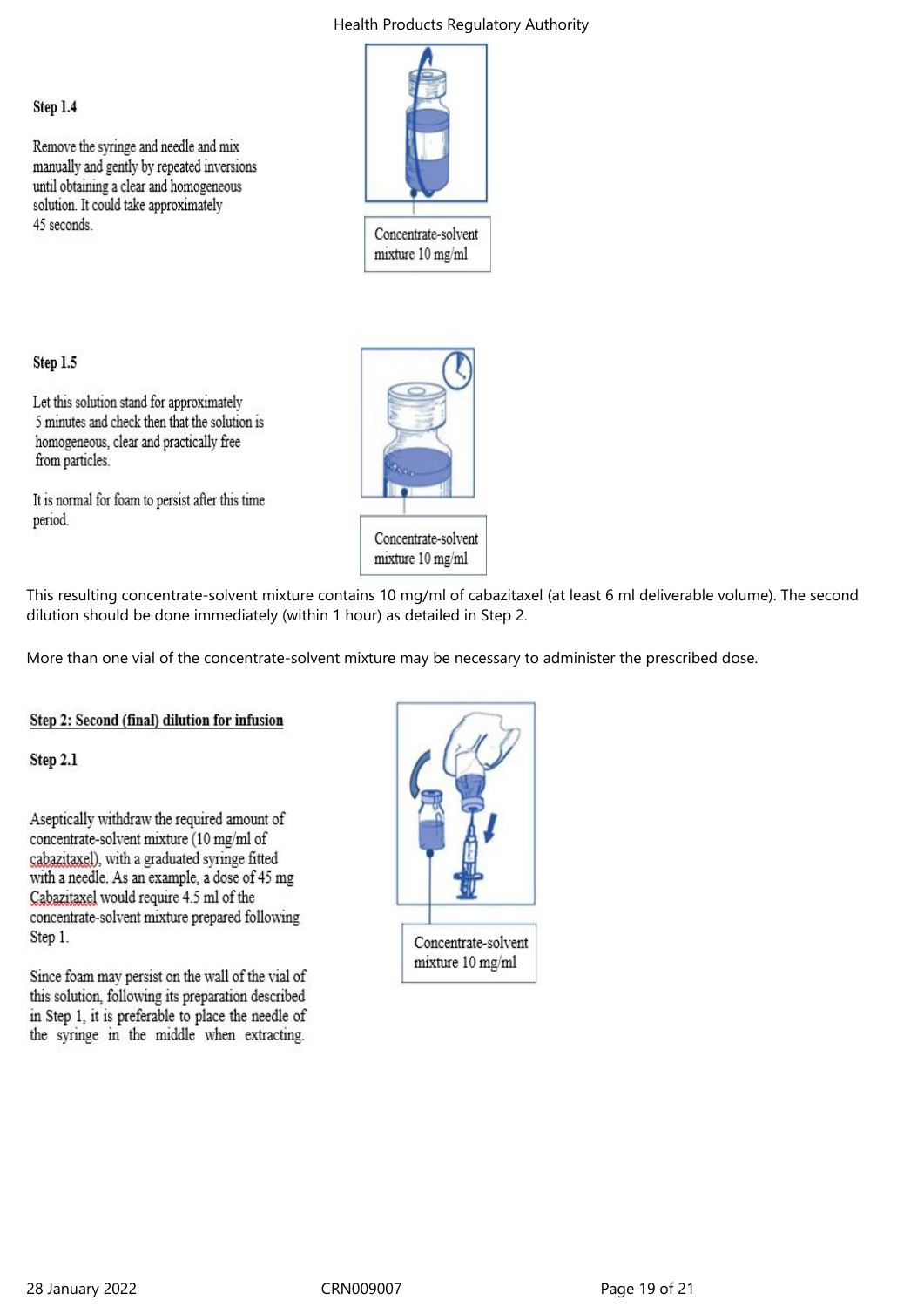# Step 1.4

Remove the syringe and needle and mix manually and gently by repeated inversions until obtaining a clear and homogeneous solution. It could take approximately 45 seconds.



mixture 10 mg/ml

# Step 1.5

Let this solution stand for approximately 5 minutes and check then that the solution is homogeneous, clear and practically free from particles.

It is normal for foam to persist after this time period.



This resulting concentrate-solvent mixture contains 10 mg/ml of cabazitaxel (at least 6 ml deliverable volume). The second dilution should be done immediately (within 1 hour) as detailed in Step 2.

More than one vial of the concentrate-solvent mixture may be necessary to administer the prescribed dose.

### Step 2: Second (final) dilution for infusion

Step 2.1

Aseptically withdraw the required amount of concentrate-solvent mixture (10 mg/ml of cabazitaxel), with a graduated syringe fitted with a needle. As an example, a dose of 45 mg Cabazitaxel would require 4.5 ml of the concentrate-solvent mixture prepared following Step 1.

Since foam may persist on the wall of the vial of this solution, following its preparation described in Step 1, it is preferable to place the needle of the syringe in the middle when extracting.